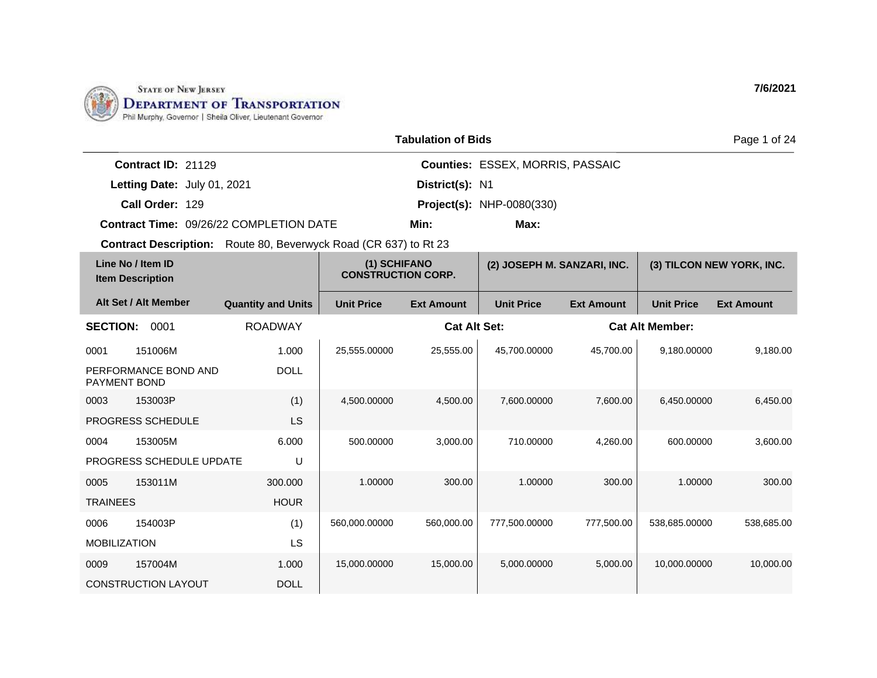

LS

1.000 DOLL

MOBILIZATION

0009 157004M

CONSTRUCTION LAYOUT

|                                              |                                             |                                                                         |                   | <b>Tabulation of Bids</b>   |                                         |                           |                        | Page 1 of 24      |
|----------------------------------------------|---------------------------------------------|-------------------------------------------------------------------------|-------------------|-----------------------------|-----------------------------------------|---------------------------|------------------------|-------------------|
|                                              | Contract ID: 21129                          |                                                                         |                   |                             | <b>Counties: ESSEX, MORRIS, PASSAIC</b> |                           |                        |                   |
|                                              | Letting Date: July 01, 2021                 |                                                                         |                   | District(s): N1             |                                         |                           |                        |                   |
|                                              | Call Order: 129                             |                                                                         |                   |                             | <b>Project(s): NHP-0080(330)</b>        |                           |                        |                   |
|                                              |                                             | Contract Time: 09/26/22 COMPLETION DATE                                 |                   | Min:                        | Max:                                    |                           |                        |                   |
|                                              |                                             | <b>Contract Description:</b> Route 80, Beverwyck Road (CR 637) to Rt 23 |                   |                             |                                         |                           |                        |                   |
| Line No / Item ID<br><b>Item Description</b> |                                             | (1) SCHIFANO<br><b>CONSTRUCTION CORP.</b>                               |                   | (2) JOSEPH M. SANZARI, INC. |                                         | (3) TILCON NEW YORK, INC. |                        |                   |
|                                              | Alt Set / Alt Member                        | <b>Quantity and Units</b>                                               | <b>Unit Price</b> | <b>Ext Amount</b>           | <b>Unit Price</b>                       | <b>Ext Amount</b>         | <b>Unit Price</b>      | <b>Ext Amount</b> |
| <b>SECTION:</b>                              | 0001                                        | <b>ROADWAY</b>                                                          |                   | <b>Cat Alt Set:</b>         |                                         |                           | <b>Cat Alt Member:</b> |                   |
| 0001                                         | 151006M                                     | 1.000                                                                   | 25,555.00000      | 25,555.00                   | 45,700.00000                            | 45,700.00                 | 9,180.00000            | 9,180.00          |
|                                              | PERFORMANCE BOND AND<br><b>PAYMENT BOND</b> | <b>DOLL</b>                                                             |                   |                             |                                         |                           |                        |                   |
| 0003                                         | 153003P                                     | (1)                                                                     | 4,500.00000       | 4,500.00                    | 7,600.00000                             | 7,600.00                  | 6,450.00000            | 6,450.00          |
|                                              | <b>PROGRESS SCHEDULE</b>                    | LS                                                                      |                   |                             |                                         |                           |                        |                   |
| 0004                                         | 153005M                                     | 6.000                                                                   | 500.00000         | 3,000.00                    | 710.00000                               | 4,260.00                  | 600.00000              | 3,600.00          |
|                                              | <b>PROGRESS SCHEDULE UPDATE</b>             | U                                                                       |                   |                             |                                         |                           |                        |                   |
| 0005                                         | 153011M                                     | 300.000                                                                 | 1.00000           | 300.00                      | 1.00000                                 | 300.00                    | 1.00000                | 300.00            |
| <b>TRAINEES</b>                              |                                             | <b>HOUR</b>                                                             |                   |                             |                                         |                           |                        |                   |
| 0006                                         | 154003P                                     | (1)                                                                     | 560,000.00000     | 560,000.00                  | 777,500.00000                           | 777,500.00                | 538,685.00000          | 538,685.00        |

15,000.0000 15,000.00 5,000.0000 5,000.00 10,000.000 10,000.00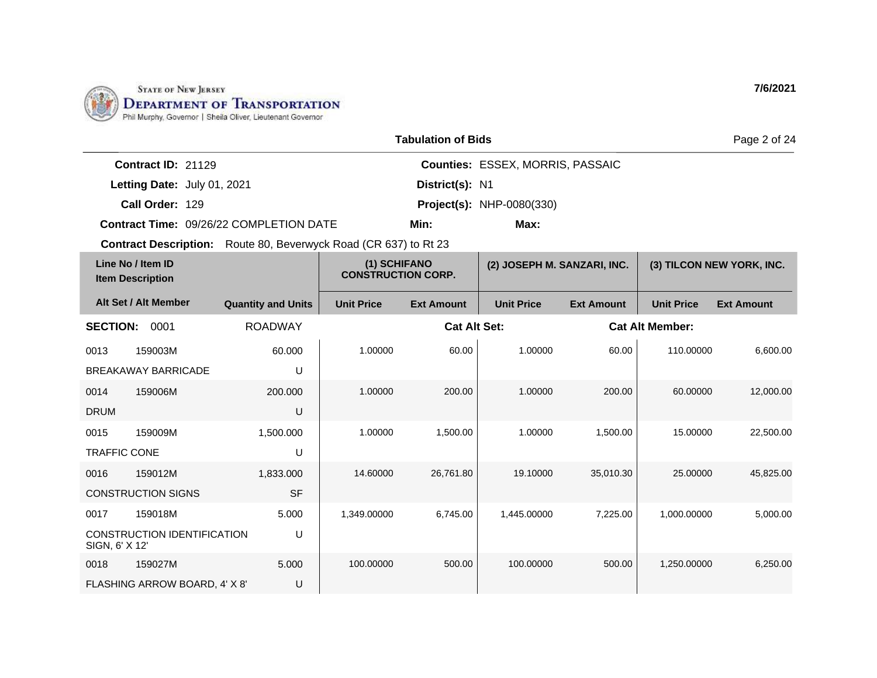

| <b>Tabulation of Bids</b><br>Page 2 of 24    |                               |                                                                         |                                           |                     |                                         |                   |                        |                           |  |
|----------------------------------------------|-------------------------------|-------------------------------------------------------------------------|-------------------------------------------|---------------------|-----------------------------------------|-------------------|------------------------|---------------------------|--|
|                                              | Contract ID: 21129            |                                                                         |                                           |                     | <b>Counties: ESSEX, MORRIS, PASSAIC</b> |                   |                        |                           |  |
|                                              | Letting Date: July 01, 2021   |                                                                         |                                           | District(s): N1     |                                         |                   |                        |                           |  |
|                                              | Call Order: 129               |                                                                         |                                           |                     | <b>Project(s): NHP-0080(330)</b>        |                   |                        |                           |  |
|                                              |                               | Contract Time: 09/26/22 COMPLETION DATE                                 |                                           | Min:                | Max:                                    |                   |                        |                           |  |
|                                              |                               | <b>Contract Description:</b> Route 80, Beverwyck Road (CR 637) to Rt 23 |                                           |                     |                                         |                   |                        |                           |  |
| Line No / Item ID<br><b>Item Description</b> |                               |                                                                         | (1) SCHIFANO<br><b>CONSTRUCTION CORP.</b> |                     | (2) JOSEPH M. SANZARI, INC.             |                   |                        | (3) TILCON NEW YORK, INC. |  |
|                                              | Alt Set / Alt Member          | <b>Quantity and Units</b>                                               | <b>Unit Price</b>                         | <b>Ext Amount</b>   | <b>Unit Price</b>                       | <b>Ext Amount</b> | <b>Unit Price</b>      | <b>Ext Amount</b>         |  |
| <b>SECTION:</b>                              | 0001                          | <b>ROADWAY</b>                                                          |                                           | <b>Cat Alt Set:</b> |                                         |                   | <b>Cat Alt Member:</b> |                           |  |
| 0013                                         | 159003M                       | 60.000                                                                  | 1.00000                                   | 60.00               | 1.00000                                 | 60.00             | 110.00000              | 6,600.00                  |  |
|                                              | <b>BREAKAWAY BARRICADE</b>    | U                                                                       |                                           |                     |                                         |                   |                        |                           |  |
| 0014                                         | 159006M                       | 200.000                                                                 | 1.00000                                   | 200.00              | 1.00000                                 | 200.00            | 60.00000               | 12,000.00                 |  |
| <b>DRUM</b>                                  |                               | U                                                                       |                                           |                     |                                         |                   |                        |                           |  |
| 0015                                         | 159009M                       | 1,500.000                                                               | 1.00000                                   | 1,500.00            | 1.00000                                 | 1,500.00          | 15.00000               | 22,500.00                 |  |
| <b>TRAFFIC CONE</b>                          |                               | U                                                                       |                                           |                     |                                         |                   |                        |                           |  |
| 0016                                         | 159012M                       | 1,833.000                                                               | 14.60000                                  | 26,761.80           | 19.10000                                | 35,010.30         | 25.00000               | 45,825.00                 |  |
|                                              | <b>CONSTRUCTION SIGNS</b>     | <b>SF</b>                                                               |                                           |                     |                                         |                   |                        |                           |  |
| 0017                                         | 159018M                       | 5.000                                                                   | 1,349.00000                               | 6,745.00            | 1,445.00000                             | 7,225.00          | 1,000.00000            | 5,000.00                  |  |
| SIGN, 6' X 12'                               | CONSTRUCTION IDENTIFICATION   | U                                                                       |                                           |                     |                                         |                   |                        |                           |  |
| 0018                                         | 159027M                       | 5.000                                                                   | 100.00000                                 | 500.00              | 100.00000                               | 500.00            | 1,250.00000            | 6,250.00                  |  |
|                                              | FLASHING ARROW BOARD, 4' X 8' | U                                                                       |                                           |                     |                                         |                   |                        |                           |  |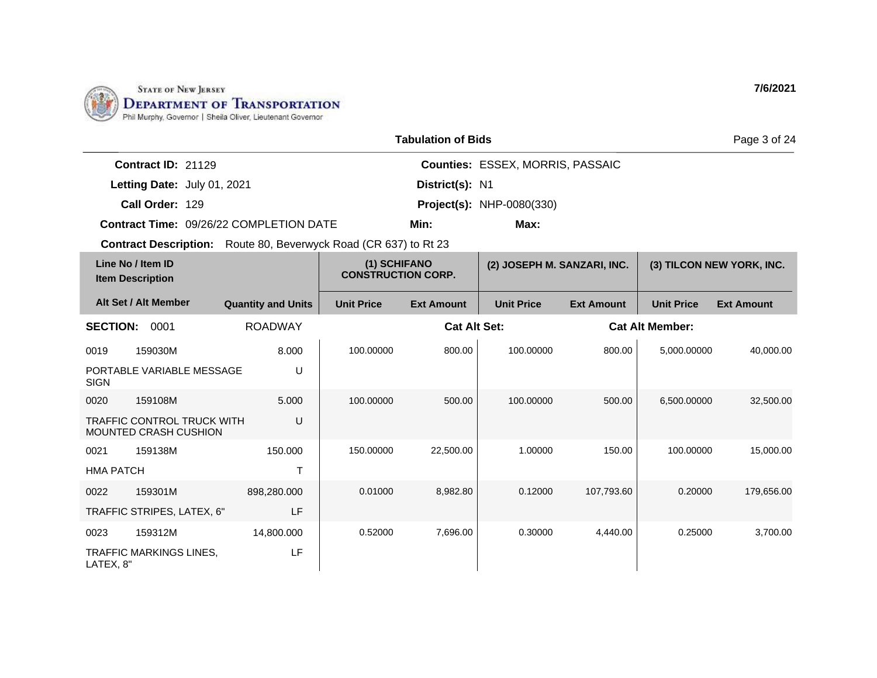

LATEX, 8"

|                  |                                                                   |                                                                         |                                           | <b>Tabulation of Bids</b> |                                         |                   |                        | Page 3 of 24              |
|------------------|-------------------------------------------------------------------|-------------------------------------------------------------------------|-------------------------------------------|---------------------------|-----------------------------------------|-------------------|------------------------|---------------------------|
|                  | Contract ID: 21129                                                |                                                                         |                                           |                           | <b>Counties: ESSEX, MORRIS, PASSAIC</b> |                   |                        |                           |
|                  | Letting Date: July 01, 2021                                       |                                                                         |                                           | District(s): N1           |                                         |                   |                        |                           |
|                  | Call Order: 129                                                   |                                                                         |                                           |                           | <b>Project(s): NHP-0080(330)</b>        |                   |                        |                           |
|                  |                                                                   | Contract Time: 09/26/22 COMPLETION DATE                                 |                                           | Min:                      | Max:                                    |                   |                        |                           |
|                  |                                                                   | <b>Contract Description:</b> Route 80, Beverwyck Road (CR 637) to Rt 23 |                                           |                           |                                         |                   |                        |                           |
|                  | Line No / Item ID<br><b>Item Description</b>                      |                                                                         | (1) SCHIFANO<br><b>CONSTRUCTION CORP.</b> |                           | (2) JOSEPH M. SANZARI, INC.             |                   |                        | (3) TILCON NEW YORK, INC. |
|                  | Alt Set / Alt Member                                              | <b>Quantity and Units</b>                                               | <b>Unit Price</b>                         | <b>Ext Amount</b>         | <b>Unit Price</b>                       | <b>Ext Amount</b> | <b>Unit Price</b>      | <b>Ext Amount</b>         |
| <b>SECTION:</b>  | 0001                                                              | <b>ROADWAY</b>                                                          |                                           | <b>Cat Alt Set:</b>       |                                         |                   | <b>Cat Alt Member:</b> |                           |
| 0019             | 159030M                                                           | 8.000                                                                   | 100.00000                                 | 800.00                    | 100.00000                               | 800.00            | 5,000.00000            | 40,000.00                 |
| <b>SIGN</b>      | PORTABLE VARIABLE MESSAGE                                         | U                                                                       |                                           |                           |                                         |                   |                        |                           |
| 0020             | 159108M                                                           | 5.000                                                                   | 100.00000                                 | 500.00                    | 100.00000                               | 500.00            | 6,500.00000            | 32,500.00                 |
|                  | <b>TRAFFIC CONTROL TRUCK WITH</b><br><b>MOUNTED CRASH CUSHION</b> | U                                                                       |                                           |                           |                                         |                   |                        |                           |
| 0021             | 159138M                                                           | 150.000                                                                 | 150.00000                                 | 22,500.00                 | 1.00000                                 | 150.00            | 100.00000              | 15,000.00                 |
| <b>HMA PATCH</b> |                                                                   | T                                                                       |                                           |                           |                                         |                   |                        |                           |
| 0022             | 159301M                                                           | 898,280.000                                                             | 0.01000                                   | 8,982.80                  | 0.12000                                 | 107,793.60        | 0.20000                | 179,656.00                |
|                  | TRAFFIC STRIPES, LATEX, 6"                                        | LF                                                                      |                                           |                           |                                         |                   |                        |                           |
| 0023             | 159312M                                                           | 14,800.000                                                              | 0.52000                                   | 7,696.00                  | 0.30000                                 | 4,440.00          | 0.25000                | 3,700.00                  |
|                  | <b>TRAFFIC MARKINGS LINES.</b>                                    | LF                                                                      |                                           |                           |                                         |                   |                        |                           |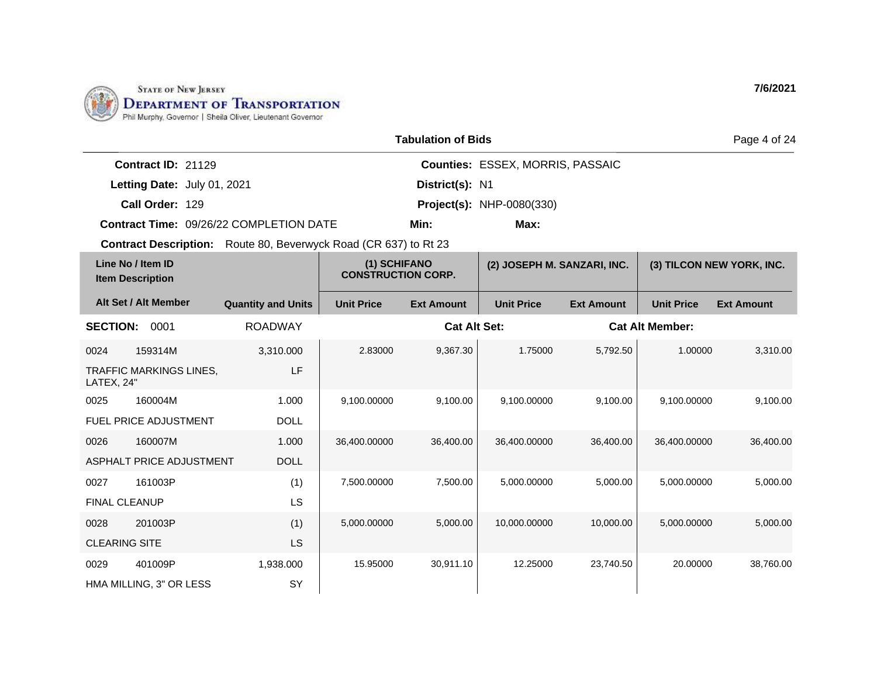

|                                                                |                                            |                                           | <b>Tabulation of Bids</b> |                                         |                             |                        | Page 4 of 24              |
|----------------------------------------------------------------|--------------------------------------------|-------------------------------------------|---------------------------|-----------------------------------------|-----------------------------|------------------------|---------------------------|
| Contract ID: 21129                                             |                                            |                                           |                           | <b>Counties: ESSEX, MORRIS, PASSAIC</b> |                             |                        |                           |
| Letting Date: July 01, 2021                                    |                                            | District(s): N1                           |                           |                                         |                             |                        |                           |
| Call Order: 129                                                |                                            | <b>Project(s): NHP-0080(330)</b>          |                           |                                         |                             |                        |                           |
| <b>Contract Time: 09/26/22 COMPLETION DATE</b><br>Max:<br>Min: |                                            |                                           |                           |                                         |                             |                        |                           |
| <b>Contract Description:</b>                                   | Route 80, Beverwyck Road (CR 637) to Rt 23 |                                           |                           |                                         |                             |                        |                           |
| Line No / Item ID<br><b>Item Description</b>                   |                                            | (1) SCHIFANO<br><b>CONSTRUCTION CORP.</b> |                           |                                         | (2) JOSEPH M. SANZARI, INC. |                        | (3) TILCON NEW YORK, INC. |
| Alt Set / Alt Member                                           | <b>Quantity and Units</b>                  | <b>Unit Price</b>                         | <b>Ext Amount</b>         | <b>Unit Price</b>                       | <b>Ext Amount</b>           | <b>Unit Price</b>      | <b>Ext Amount</b>         |
| 0001<br><b>SECTION:</b>                                        | <b>ROADWAY</b>                             |                                           | <b>Cat Alt Set:</b>       |                                         |                             | <b>Cat Alt Member:</b> |                           |

| <b>SECTION:</b>      | 0001                           | <b>ROADWAY</b> |              | <b>Cat Alt Set:</b> |              |           | <b>Cat Alt Member:</b> |           |
|----------------------|--------------------------------|----------------|--------------|---------------------|--------------|-----------|------------------------|-----------|
| 0024                 | 159314M                        | 3,310.000      | 2.83000      | 9,367.30            | 1.75000      | 5,792.50  | 1.00000                | 3,310.00  |
| LATEX, 24"           | <b>TRAFFIC MARKINGS LINES,</b> | LF             |              |                     |              |           |                        |           |
| 0025                 | 160004M                        | 1.000          | 9,100.00000  | 9,100.00            | 9,100.00000  | 9,100.00  | 9,100.00000            | 9,100.00  |
|                      | <b>FUEL PRICE ADJUSTMENT</b>   | <b>DOLL</b>    |              |                     |              |           |                        |           |
| 0026                 | 160007M                        | 1.000          | 36,400.00000 | 36,400.00           | 36,400.00000 | 36,400.00 | 36,400.00000           | 36,400.00 |
|                      | ASPHALT PRICE ADJUSTMENT       | <b>DOLL</b>    |              |                     |              |           |                        |           |
| 0027                 | 161003P                        | (1)            | 7,500.00000  | 7,500.00            | 5,000.00000  | 5,000.00  | 5,000.00000            | 5,000.00  |
| <b>FINAL CLEANUP</b> |                                | <b>LS</b>      |              |                     |              |           |                        |           |
| 0028                 | 201003P                        | (1)            | 5,000.00000  | 5,000.00            | 10,000.00000 | 10,000.00 | 5,000.00000            | 5,000.00  |
| <b>CLEARING SITE</b> |                                | <b>LS</b>      |              |                     |              |           |                        |           |
| 0029                 | 401009P                        | 1,938.000      | 15.95000     | 30,911.10           | 12.25000     | 23,740.50 | 20.00000               | 38,760.00 |
|                      | HMA MILLING, 3" OR LESS        | SY             |              |                     |              |           |                        |           |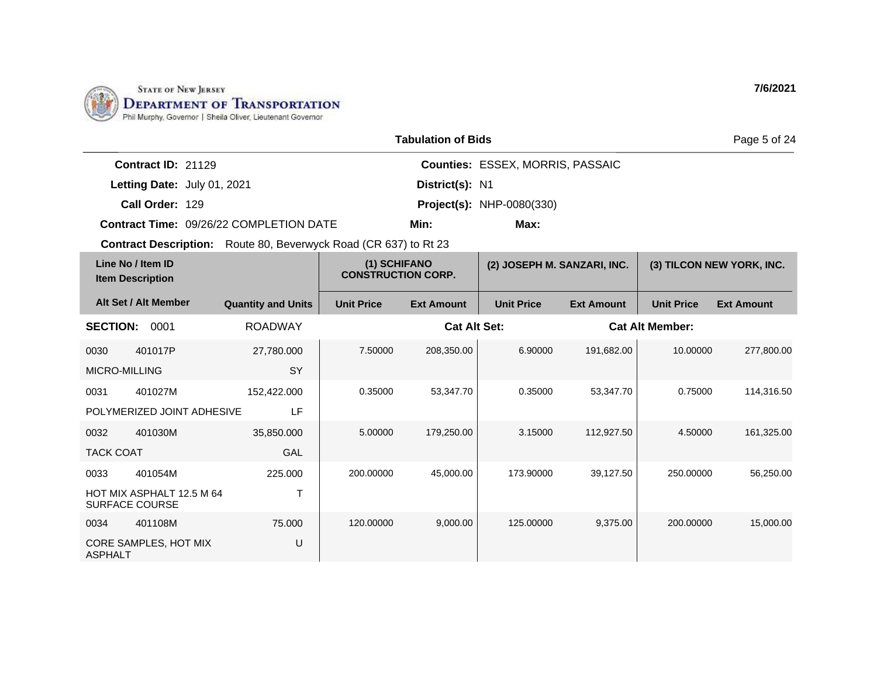

0034 401108M

ASPHALT

CORE SAMPLES, HOT MIX

75.000

U

|                                                                         |                           |                                           | <b>Tabulation of Bids</b> |                                         |                   |                           | Page 5 of 24      |
|-------------------------------------------------------------------------|---------------------------|-------------------------------------------|---------------------------|-----------------------------------------|-------------------|---------------------------|-------------------|
| Contract ID: 21129                                                      |                           |                                           |                           | <b>Counties: ESSEX, MORRIS, PASSAIC</b> |                   |                           |                   |
| Letting Date: July 01, 2021                                             |                           |                                           | District(s): N1           |                                         |                   |                           |                   |
| Call Order: 129                                                         |                           |                                           |                           | <b>Project(s): NHP-0080(330)</b>        |                   |                           |                   |
| <b>Contract Time: 09/26/22 COMPLETION DATE</b>                          |                           |                                           | Min:                      | Max:                                    |                   |                           |                   |
| <b>Contract Description:</b> Route 80, Beverwyck Road (CR 637) to Rt 23 |                           |                                           |                           |                                         |                   |                           |                   |
| Line No / Item ID<br><b>Item Description</b>                            |                           | (1) SCHIFANO<br><b>CONSTRUCTION CORP.</b> |                           | (2) JOSEPH M. SANZARI, INC.             |                   | (3) TILCON NEW YORK, INC. |                   |
| Alt Set / Alt Member                                                    | <b>Quantity and Units</b> | <b>Unit Price</b>                         | <b>Ext Amount</b>         | <b>Unit Price</b>                       | <b>Ext Amount</b> | <b>Unit Price</b>         | <b>Ext Amount</b> |
| <b>SECTION:</b><br>0001                                                 | <b>ROADWAY</b>            |                                           | <b>Cat Alt Set:</b>       |                                         |                   | <b>Cat Alt Member:</b>    |                   |
| 0030<br>401017P                                                         | 27,780.000                | 7.50000                                   | 208,350.00                | 6.90000                                 | 191,682.00        | 10.00000                  | 277,800.00        |
| <b>MICRO-MILLING</b>                                                    | <b>SY</b>                 |                                           |                           |                                         |                   |                           |                   |
| 401027M<br>0031                                                         | 152,422.000               | 0.35000                                   | 53,347.70                 | 0.35000                                 | 53,347.70         | 0.75000                   | 114,316.50        |
| POLYMERIZED JOINT ADHESIVE                                              | LF                        |                                           |                           |                                         |                   |                           |                   |
| 401030M<br>0032                                                         | 35,850.000                | 5.00000                                   | 179,250.00                | 3.15000                                 | 112,927.50        | 4.50000                   | 161,325.00        |
| <b>TACK COAT</b>                                                        | GAL                       |                                           |                           |                                         |                   |                           |                   |
| 401054M<br>0033                                                         | 225.000                   | 200.00000                                 | 45,000.00                 | 173.90000                               | 39,127.50         | 250.00000                 | 56,250.00         |
| HOT MIX ASPHALT 12.5 M 64<br><b>SURFACE COURSE</b>                      | Т                         |                                           |                           |                                         |                   |                           |                   |

120.00000 9,000.00 125.00000 9,375.00 200.00000 15,000.00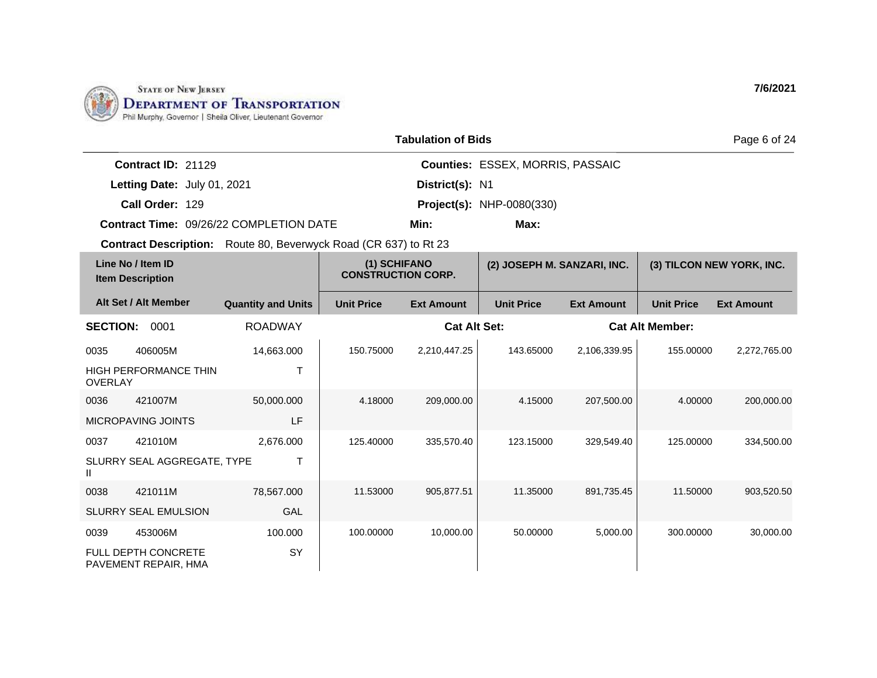

SLURRY SEAL EMULSION

FULL DEPTH CONCRETE PAVEMENT REPAIR, HMA

0039 453006M

GAL

SY

100.000

|                                              |                              |                                                                         |                                           | <b>Tabulation of Bids</b> |                                  |                   |                           | Page 6 of 24      |
|----------------------------------------------|------------------------------|-------------------------------------------------------------------------|-------------------------------------------|---------------------------|----------------------------------|-------------------|---------------------------|-------------------|
|                                              | Contract ID: 21129           |                                                                         |                                           |                           | Counties: ESSEX, MORRIS, PASSAIC |                   |                           |                   |
|                                              | Letting Date: July 01, 2021  |                                                                         |                                           | District(s): N1           |                                  |                   |                           |                   |
|                                              | Call Order: 129              |                                                                         |                                           |                           | <b>Project(s): NHP-0080(330)</b> |                   |                           |                   |
|                                              |                              | <b>Contract Time: 09/26/22 COMPLETION DATE</b>                          |                                           | Min:                      | Max:                             |                   |                           |                   |
|                                              |                              | <b>Contract Description:</b> Route 80, Beverwyck Road (CR 637) to Rt 23 |                                           |                           |                                  |                   |                           |                   |
| Line No / Item ID<br><b>Item Description</b> |                              |                                                                         | (1) SCHIFANO<br><b>CONSTRUCTION CORP.</b> |                           | (2) JOSEPH M. SANZARI, INC.      |                   | (3) TILCON NEW YORK, INC. |                   |
| Alt Set / Alt Member                         |                              | <b>Quantity and Units</b>                                               | <b>Unit Price</b>                         | <b>Ext Amount</b>         | <b>Unit Price</b>                | <b>Ext Amount</b> | <b>Unit Price</b>         | <b>Ext Amount</b> |
| <b>SECTION:</b>                              | 0001                         | <b>ROADWAY</b>                                                          |                                           | <b>Cat Alt Set:</b>       |                                  |                   | <b>Cat Alt Member:</b>    |                   |
| 0035                                         | 406005M                      | 14,663.000                                                              | 150.75000                                 | 2,210,447.25              | 143.65000                        | 2,106,339.95      | 155.00000                 | 2,272,765.00      |
| <b>OVERLAY</b>                               | <b>HIGH PERFORMANCE THIN</b> | T                                                                       |                                           |                           |                                  |                   |                           |                   |
| 0036                                         | 421007M                      | 50,000.000                                                              | 4.18000                                   | 209,000.00                | 4.15000                          | 207,500.00        | 4.00000                   | 200,000.00        |
|                                              | <b>MICROPAVING JOINTS</b>    | LF                                                                      |                                           |                           |                                  |                   |                           |                   |
| 0037                                         | 421010M                      | 2,676.000                                                               | 125.40000                                 | 335,570.40                | 123.15000                        | 329,549.40        | 125.00000                 | 334,500.00        |
| $\mathbf{H}$                                 | SLURRY SEAL AGGREGATE, TYPE  | Τ                                                                       |                                           |                           |                                  |                   |                           |                   |
| 0038                                         | 421011M                      | 78,567.000                                                              | 11.53000                                  | 905.877.51                | 11.35000                         | 891.735.45        | 11.50000                  | 903,520.50        |

100.00000 10,000.00 50.00000 5,000.00 300.00000 30,000.00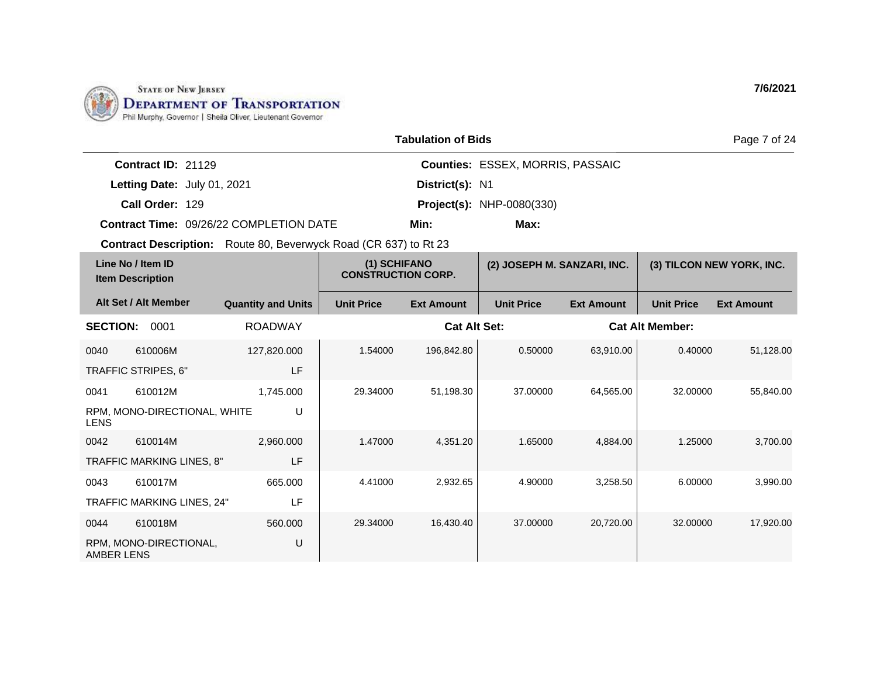

TRAFFIC MARKING LINES, 24"

RPM, MONO-DIRECTIONAL,

0044 610018M

AMBER LENS

LF

U

560.000

| <b>Tabulation of Bids</b><br>Page 7 of 24                               |                                  |                                                |                                           |                     |                                  |                   |                           |                   |  |
|-------------------------------------------------------------------------|----------------------------------|------------------------------------------------|-------------------------------------------|---------------------|----------------------------------|-------------------|---------------------------|-------------------|--|
|                                                                         | Contract ID: 21129               |                                                |                                           |                     | Counties: ESSEX, MORRIS, PASSAIC |                   |                           |                   |  |
|                                                                         | Letting Date: July 01, 2021      |                                                |                                           | District(s): N1     |                                  |                   |                           |                   |  |
|                                                                         | Call Order: 129                  |                                                |                                           |                     | <b>Project(s): NHP-0080(330)</b> |                   |                           |                   |  |
|                                                                         |                                  | <b>Contract Time: 09/26/22 COMPLETION DATE</b> |                                           | Min:                | Max:                             |                   |                           |                   |  |
| <b>Contract Description:</b> Route 80, Beverwyck Road (CR 637) to Rt 23 |                                  |                                                |                                           |                     |                                  |                   |                           |                   |  |
| Line No / Item ID<br><b>Item Description</b>                            |                                  |                                                | (1) SCHIFANO<br><b>CONSTRUCTION CORP.</b> |                     | (2) JOSEPH M. SANZARI, INC.      |                   | (3) TILCON NEW YORK, INC. |                   |  |
| Alt Set / Alt Member                                                    |                                  | <b>Quantity and Units</b>                      | <b>Unit Price</b>                         | <b>Ext Amount</b>   | <b>Unit Price</b>                | <b>Ext Amount</b> | <b>Unit Price</b>         | <b>Ext Amount</b> |  |
| <b>SECTION:</b>                                                         | 0001                             | <b>ROADWAY</b>                                 |                                           | <b>Cat Alt Set:</b> |                                  |                   | <b>Cat Alt Member:</b>    |                   |  |
| 0040                                                                    | 610006M                          | 127,820.000                                    | 1.54000                                   | 196,842.80          | 0.50000                          | 63,910.00         | 0.40000                   | 51,128.00         |  |
| TRAFFIC STRIPES, 6"                                                     |                                  | LF                                             |                                           |                     |                                  |                   |                           |                   |  |
| 0041                                                                    | 610012M                          | 1,745.000                                      | 29.34000                                  | 51,198.30           | 37,00000                         | 64,565.00         | 32.00000                  | 55,840.00         |  |
| <b>LENS</b>                                                             | RPM, MONO-DIRECTIONAL, WHITE     | U                                              |                                           |                     |                                  |                   |                           |                   |  |
| 0042                                                                    | 610014M                          | 2,960.000                                      | 1.47000                                   | 4,351.20            | 1.65000                          | 4,884.00          | 1.25000                   | 3,700.00          |  |
|                                                                         | <b>TRAFFIC MARKING LINES, 8"</b> | LF                                             |                                           |                     |                                  |                   |                           |                   |  |
| 0043                                                                    | 610017M                          | 665.000                                        | 4.41000                                   | 2,932.65            | 4.90000                          | 3,258.50          | 6.00000                   | 3,990.00          |  |

29.34000 16,430.40 37.00000 20,720.00 32.00000 17,920.00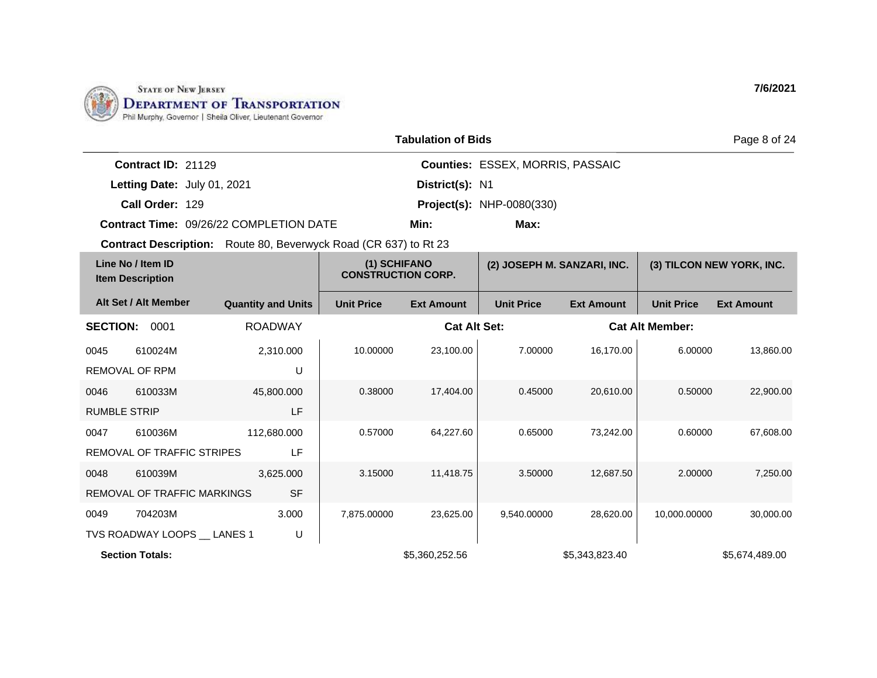

|                                           |                                              |                                                                         |                     |                                           | <b>Tabulation of Bids</b> |                                         |                        |                   | Page 8 of 24              |
|-------------------------------------------|----------------------------------------------|-------------------------------------------------------------------------|---------------------|-------------------------------------------|---------------------------|-----------------------------------------|------------------------|-------------------|---------------------------|
|                                           | Contract ID: 21129                           |                                                                         |                     |                                           |                           | <b>Counties: ESSEX, MORRIS, PASSAIC</b> |                        |                   |                           |
|                                           |                                              | Letting Date: July 01, 2021                                             |                     |                                           | District(s): N1           |                                         |                        |                   |                           |
|                                           | Call Order: 129                              |                                                                         |                     |                                           |                           | <b>Project(s): NHP-0080(330)</b>        |                        |                   |                           |
|                                           |                                              | Contract Time: 09/26/22 COMPLETION DATE                                 |                     | Min:<br>Max:                              |                           |                                         |                        |                   |                           |
|                                           |                                              | <b>Contract Description:</b> Route 80, Beverwyck Road (CR 637) to Rt 23 |                     |                                           |                           |                                         |                        |                   |                           |
|                                           | Line No / Item ID<br><b>Item Description</b> |                                                                         |                     | (1) SCHIFANO<br><b>CONSTRUCTION CORP.</b> |                           | (2) JOSEPH M. SANZARI, INC.             |                        |                   | (3) TILCON NEW YORK, INC. |
|                                           | Alt Set / Alt Member                         | <b>Quantity and Units</b>                                               |                     | <b>Unit Price</b>                         | <b>Ext Amount</b>         | <b>Unit Price</b>                       | <b>Ext Amount</b>      | <b>Unit Price</b> | <b>Ext Amount</b>         |
| <b>SECTION:</b><br>0001<br><b>ROADWAY</b> |                                              |                                                                         | <b>Cat Alt Set:</b> |                                           |                           |                                         | <b>Cat Alt Member:</b> |                   |                           |
| 0045                                      | 610024M                                      |                                                                         | 2,310.000           | 10.00000                                  | 23,100.00                 | 7.00000                                 | 16,170.00              | 6.00000           | 13,860.00                 |
|                                           | <b>REMOVAL OF RPM</b>                        |                                                                         | U                   |                                           |                           |                                         |                        |                   |                           |
| 0046                                      | 610033M                                      |                                                                         | 45,800.000          | 0.38000                                   | 17,404.00                 | 0.45000                                 | 20,610.00              | 0.50000           | 22,900.00                 |
| <b>RUMBLE STRIP</b>                       |                                              |                                                                         | LF                  |                                           |                           |                                         |                        |                   |                           |
| 0047                                      | 610036M                                      |                                                                         | 112,680.000         | 0.57000                                   | 64,227.60                 | 0.65000                                 | 73,242.00              | 0.60000           | 67.608.00                 |
|                                           | REMOVAL OF TRAFFIC STRIPES                   |                                                                         | LF                  |                                           |                           |                                         |                        |                   |                           |
| 0048                                      | 610039M                                      |                                                                         | 3,625.000           | 3.15000                                   | 11,418.75                 | 3.50000                                 | 12,687.50              | 2.00000           | 7,250.00                  |
|                                           |                                              | <b>REMOVAL OF TRAFFIC MARKINGS</b>                                      | <b>SF</b>           |                                           |                           |                                         |                        |                   |                           |
| 0049                                      | 704203M                                      |                                                                         | 3.000               | 7,875.00000                               | 23,625.00                 | 9,540.00000                             | 28,620.00              | 10,000.00000      | 30,000.00                 |
|                                           |                                              | TVS ROADWAY LOOPS __ LANES 1                                            | U                   |                                           |                           |                                         |                        |                   |                           |
|                                           | <b>Section Totals:</b>                       |                                                                         |                     |                                           | \$5,360,252.56            |                                         | \$5,343,823.40         |                   | \$5,674,489.00            |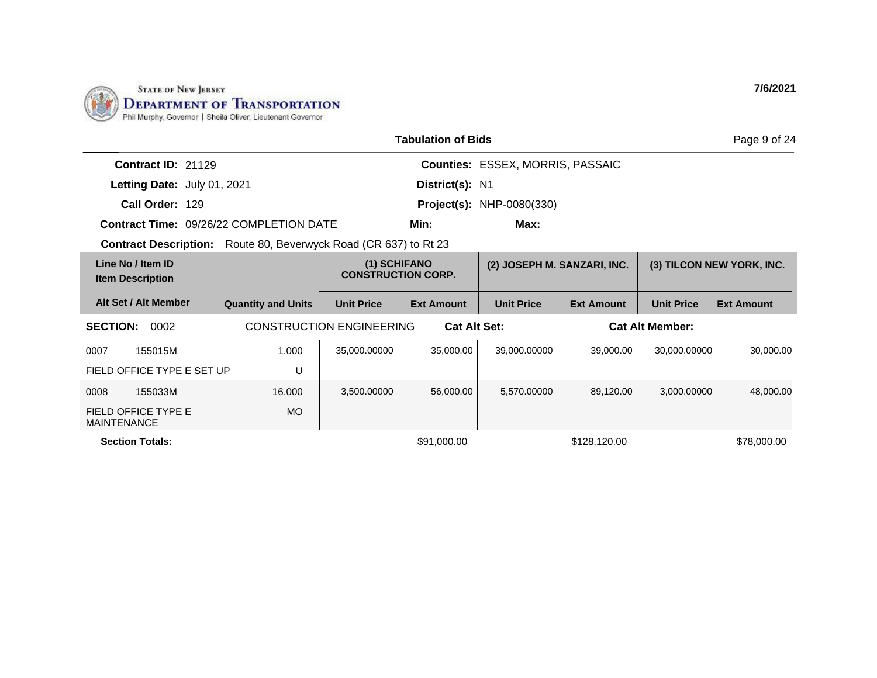

|                                                | <b>Tabulation of Bids</b>                                               |                                           |                                  |                                         |                   |                           |                   |  |  |
|------------------------------------------------|-------------------------------------------------------------------------|-------------------------------------------|----------------------------------|-----------------------------------------|-------------------|---------------------------|-------------------|--|--|
| Contract ID: 21129                             |                                                                         |                                           |                                  | <b>Counties: ESSEX, MORRIS, PASSAIC</b> |                   |                           |                   |  |  |
| Letting Date: July 01, 2021                    |                                                                         |                                           | District(s): N1                  |                                         |                   |                           |                   |  |  |
| Call Order: 129                                |                                                                         |                                           | <b>Project(s): NHP-0080(330)</b> |                                         |                   |                           |                   |  |  |
| <b>Contract Time: 09/26/22 COMPLETION DATE</b> |                                                                         | Min:<br>Max:                              |                                  |                                         |                   |                           |                   |  |  |
|                                                | <b>Contract Description:</b> Route 80, Beverwyck Road (CR 637) to Rt 23 |                                           |                                  |                                         |                   |                           |                   |  |  |
| Line No / Item ID<br><b>Item Description</b>   |                                                                         | (1) SCHIFANO<br><b>CONSTRUCTION CORP.</b> |                                  | (2) JOSEPH M. SANZARI, INC.             |                   | (3) TILCON NEW YORK, INC. |                   |  |  |
| Alt Set / Alt Member                           | <b>Quantity and Units</b>                                               | <b>Unit Price</b>                         | <b>Ext Amount</b>                | <b>Unit Price</b>                       | <b>Ext Amount</b> | <b>Unit Price</b>         | <b>Ext Amount</b> |  |  |
| <b>SECTION:</b><br>0002                        |                                                                         | <b>CONSTRUCTION ENGINEERING</b>           |                                  | <b>Cat Alt Set:</b>                     |                   | <b>Cat Alt Member:</b>    |                   |  |  |
| 0007<br>155015M                                | 1.000                                                                   | 35,000.00000                              | 35,000.00                        | 39,000.00000                            | 39,000.00         | 30.000.00000              | 30,000.00         |  |  |
| FIELD OFFICE TYPE E SET UP                     | U                                                                       |                                           |                                  |                                         |                   |                           |                   |  |  |
| 155033M<br>0008                                | 16.000                                                                  | 3,500.00000                               | 56,000.00                        | 5,570.00000                             | 89,120.00         | 3,000.00000               | 48,000.00         |  |  |
| FIELD OFFICE TYPE E<br><b>MAINTENANCE</b>      | <b>MO</b>                                                               |                                           |                                  |                                         |                   |                           |                   |  |  |
| <b>Section Totals:</b>                         |                                                                         |                                           | \$91,000.00                      |                                         | \$128,120.00      |                           | \$78,000.00       |  |  |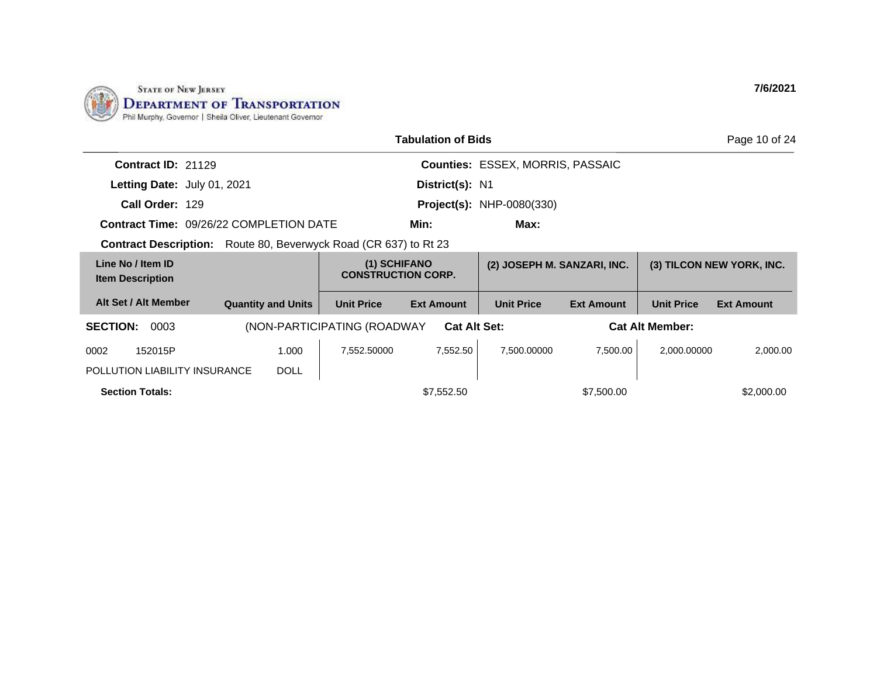

|                                                |                           |                                            | <b>Tabulation of Bids</b>               |                                  |                   |                           | Page 10 of 24     |
|------------------------------------------------|---------------------------|--------------------------------------------|-----------------------------------------|----------------------------------|-------------------|---------------------------|-------------------|
| Contract ID: 21129                             |                           |                                            | <b>Counties: ESSEX, MORRIS, PASSAIC</b> |                                  |                   |                           |                   |
| Letting Date: July 01, 2021                    |                           |                                            | District(s): N1                         |                                  |                   |                           |                   |
| Call Order: 129                                |                           |                                            |                                         | <b>Project(s): NHP-0080(330)</b> |                   |                           |                   |
| <b>Contract Time: 09/26/22 COMPLETION DATE</b> |                           |                                            | Min:                                    | Max:                             |                   |                           |                   |
| <b>Contract Description:</b>                   |                           | Route 80, Beverwyck Road (CR 637) to Rt 23 |                                         |                                  |                   |                           |                   |
| Line No / Item ID<br><b>Item Description</b>   |                           | (1) SCHIFANO<br><b>CONSTRUCTION CORP.</b>  |                                         | (2) JOSEPH M. SANZARI, INC.      |                   | (3) TILCON NEW YORK, INC. |                   |
| Alt Set / Alt Member                           | <b>Quantity and Units</b> | <b>Unit Price</b>                          | <b>Ext Amount</b>                       | <b>Unit Price</b>                | <b>Ext Amount</b> | <b>Unit Price</b>         | <b>Ext Amount</b> |
| <b>SECTION:</b><br>0003                        |                           | (NON-PARTICIPATING (ROADWAY                | <b>Cat Alt Set:</b>                     |                                  |                   | <b>Cat Alt Member:</b>    |                   |
| 152015P<br>0002                                | 1.000                     | 7,552.50000                                | 7,552.50                                | 7,500.00000                      | 7,500.00          | 2,000.00000               | 2,000.00          |
| POLLUTION LIABILITY INSURANCE                  | <b>DOLL</b>               |                                            |                                         |                                  |                   |                           |                   |
| <b>Section Totals:</b>                         |                           |                                            | \$7,552.50                              |                                  | \$7,500.00        |                           | \$2,000.00        |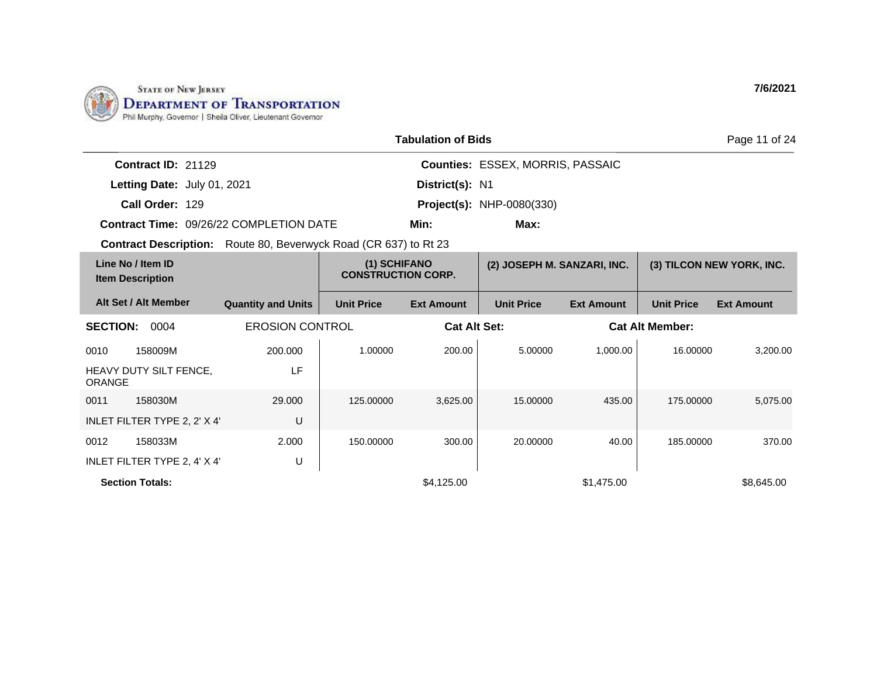

|                                                                         |                           |                                           | <b>Tabulation of Bids</b> |                                         |                   |                        | Page 11 of 24             |
|-------------------------------------------------------------------------|---------------------------|-------------------------------------------|---------------------------|-----------------------------------------|-------------------|------------------------|---------------------------|
| Contract ID: 21129                                                      |                           |                                           |                           | <b>Counties: ESSEX, MORRIS, PASSAIC</b> |                   |                        |                           |
| Letting Date: July 01, 2021                                             |                           |                                           | District(s): N1           |                                         |                   |                        |                           |
| Call Order: 129                                                         |                           |                                           |                           | <b>Project(s): NHP-0080(330)</b>        |                   |                        |                           |
| <b>Contract Time: 09/26/22 COMPLETION DATE</b>                          |                           |                                           | Min:                      | Max:                                    |                   |                        |                           |
| <b>Contract Description:</b> Route 80, Beverwyck Road (CR 637) to Rt 23 |                           |                                           |                           |                                         |                   |                        |                           |
| Line No / Item ID<br><b>Item Description</b>                            |                           | (1) SCHIFANO<br><b>CONSTRUCTION CORP.</b> |                           | (2) JOSEPH M. SANZARI, INC.             |                   |                        | (3) TILCON NEW YORK, INC. |
| Alt Set / Alt Member                                                    | <b>Quantity and Units</b> | <b>Unit Price</b>                         | <b>Ext Amount</b>         | <b>Unit Price</b>                       | <b>Ext Amount</b> | <b>Unit Price</b>      | <b>Ext Amount</b>         |
| <b>SECTION:</b><br>0004                                                 | <b>EROSION CONTROL</b>    |                                           | <b>Cat Alt Set:</b>       |                                         |                   | <b>Cat Alt Member:</b> |                           |
| 0010<br>158009M                                                         | 200.000                   | 1.00000                                   | 200.00                    | 5.00000                                 | 1,000.00          | 16.00000               | 3,200.00                  |
| HEAVY DUTY SILT FENCE,<br><b>ORANGE</b>                                 | LF                        |                                           |                           |                                         |                   |                        |                           |
| 0011<br>158030M                                                         | 29.000                    | 125.00000                                 | 3.625.00                  | 15.00000                                | 435.00            | 175.00000              | 5.075.00                  |
| INLET FILTER TYPE 2, 2' X 4'                                            | U                         |                                           |                           |                                         |                   |                        |                           |
| 0012<br>158033M                                                         | 2.000                     | 150.00000                                 | 300.00                    | 20.00000                                | 40.00             | 185.00000              | 370.00                    |
| INLET FILTER TYPE 2, 4' X 4'                                            | U                         |                                           |                           |                                         |                   |                        |                           |
| <b>Section Totals:</b>                                                  |                           |                                           | \$4.125.00                |                                         | \$1,475.00        |                        | \$8,645.00                |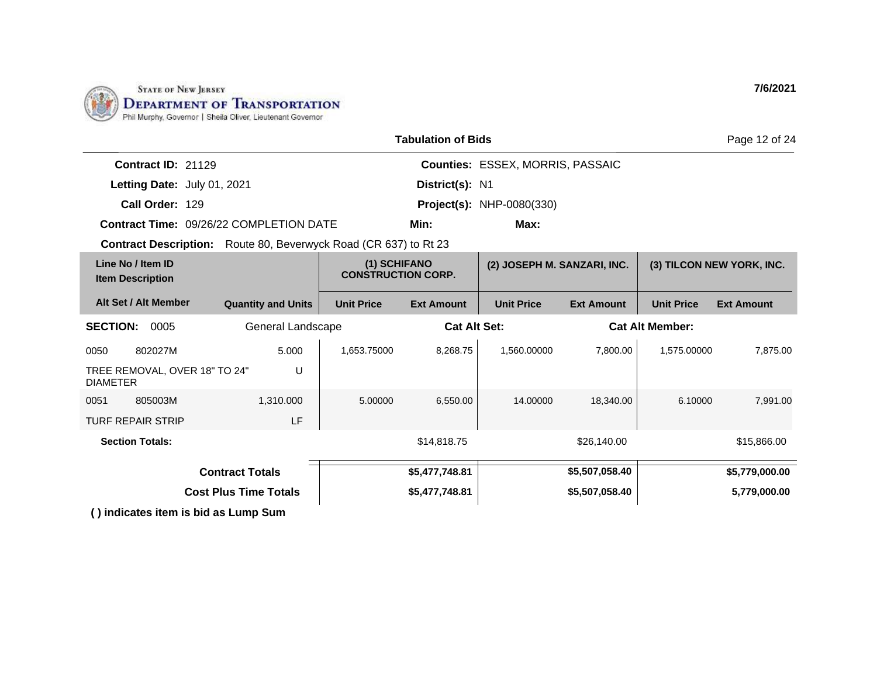

|                                                                         | <b>Tabulation of Bids</b>    |                                           |                     |                                  |                   |                   |                           |
|-------------------------------------------------------------------------|------------------------------|-------------------------------------------|---------------------|----------------------------------|-------------------|-------------------|---------------------------|
| Contract ID: 21129                                                      |                              |                                           |                     | Counties: ESSEX, MORRIS, PASSAIC |                   |                   |                           |
| Letting Date: July 01, 2021                                             |                              |                                           | District(s): N1     |                                  |                   |                   |                           |
| Call Order: 129                                                         |                              |                                           |                     | <b>Project(s): NHP-0080(330)</b> |                   |                   |                           |
| Contract Time: 09/26/22 COMPLETION DATE                                 |                              |                                           | Min:                | Max:                             |                   |                   |                           |
| <b>Contract Description:</b> Route 80, Beverwyck Road (CR 637) to Rt 23 |                              |                                           |                     |                                  |                   |                   |                           |
| Line No / Item ID<br><b>Item Description</b>                            |                              | (1) SCHIFANO<br><b>CONSTRUCTION CORP.</b> |                     | (2) JOSEPH M. SANZARI, INC.      |                   |                   | (3) TILCON NEW YORK, INC. |
| Alt Set / Alt Member                                                    | <b>Quantity and Units</b>    | <b>Unit Price</b>                         | <b>Ext Amount</b>   | <b>Unit Price</b>                | <b>Ext Amount</b> | <b>Unit Price</b> | <b>Ext Amount</b>         |
| <b>SECTION:</b><br>0005                                                 | General Landscape            |                                           | <b>Cat Alt Set:</b> | <b>Cat Alt Member:</b>           |                   |                   |                           |
| 802027M<br>0050                                                         | 5.000                        | 1,653.75000                               | 8,268.75            | 1.560.00000                      | 7,800.00          | 1,575.00000       | 7,875.00                  |
| TREE REMOVAL, OVER 18" TO 24"<br><b>DIAMETER</b>                        | U                            |                                           |                     |                                  |                   |                   |                           |
| 805003M<br>0051                                                         | 1,310.000                    | 5.00000                                   | 6,550.00            | 14.00000                         | 18,340.00         | 6.10000           | 7,991.00                  |
| <b>TURF REPAIR STRIP</b>                                                | LF                           |                                           |                     |                                  |                   |                   |                           |
| <b>Section Totals:</b>                                                  |                              |                                           | \$14,818.75         |                                  | \$26,140.00       |                   | \$15,866.00               |
|                                                                         | <b>Contract Totals</b>       |                                           | \$5,477,748.81      |                                  | \$5,507,058.40    |                   | \$5,779,000.00            |
|                                                                         | <b>Cost Plus Time Totals</b> |                                           | \$5,477,748.81      |                                  | \$5,507,058.40    |                   | 5,779,000.00              |
| () indicates item is bid as Lump Sum                                    |                              |                                           |                     |                                  |                   |                   |                           |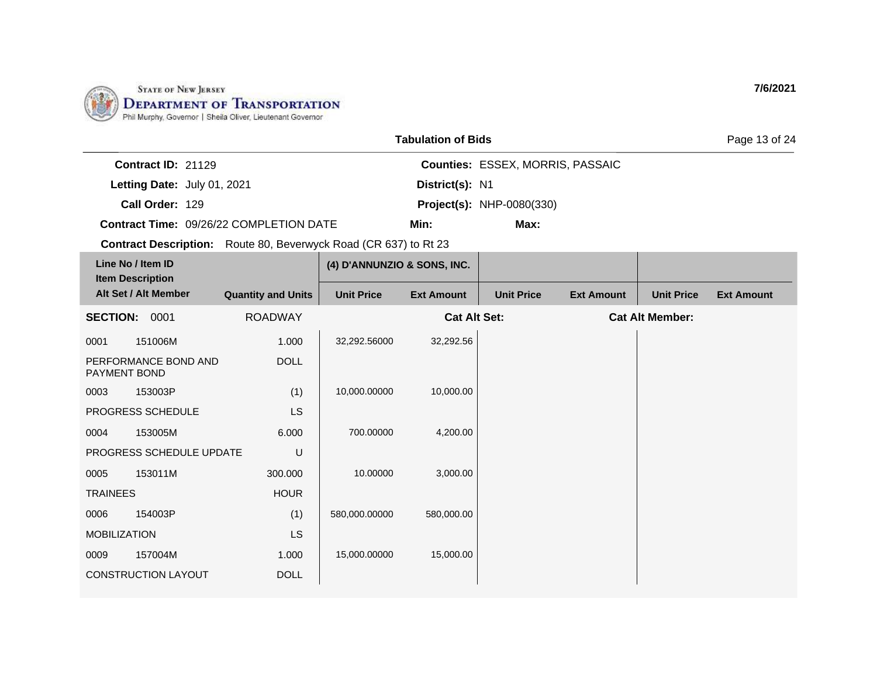

|                             |                                                | <b>Tabulation of Bids</b> |                                         | Page 13 of 24 |
|-----------------------------|------------------------------------------------|---------------------------|-----------------------------------------|---------------|
| Contract $ID: 21129$        |                                                |                           | <b>Counties: ESSEX, MORRIS, PASSAIC</b> |               |
| Letting Date: July 01, 2021 |                                                | District(s): N1           |                                         |               |
| Call Order: 129             |                                                |                           | <b>Project(s): NHP-0080(330)</b>        |               |
|                             | <b>Contract Time: 09/26/22 COMPLETION DATE</b> | Min:                      | Max:                                    |               |

|                     | Line No / Item ID<br><b>Item Description</b> |                           | (4) D'ANNUNZIO & SONS, INC. |                     |                   |                   |                        |                   |
|---------------------|----------------------------------------------|---------------------------|-----------------------------|---------------------|-------------------|-------------------|------------------------|-------------------|
|                     | Alt Set / Alt Member                         | <b>Quantity and Units</b> | <b>Unit Price</b>           | <b>Ext Amount</b>   | <b>Unit Price</b> | <b>Ext Amount</b> | <b>Unit Price</b>      | <b>Ext Amount</b> |
| <b>SECTION:</b>     | 0001                                         | <b>ROADWAY</b>            |                             | <b>Cat Alt Set:</b> |                   |                   | <b>Cat Alt Member:</b> |                   |
| 0001                | 151006M                                      | 1.000                     | 32,292.56000                | 32,292.56           |                   |                   |                        |                   |
| <b>PAYMENT BOND</b> | PERFORMANCE BOND AND                         | <b>DOLL</b>               |                             |                     |                   |                   |                        |                   |
| 0003                | 153003P                                      | (1)                       | 10,000.00000                | 10,000.00           |                   |                   |                        |                   |
|                     | <b>PROGRESS SCHEDULE</b>                     | <b>LS</b>                 |                             |                     |                   |                   |                        |                   |
| 0004                | 153005M                                      | 6.000                     | 700.00000                   | 4,200.00            |                   |                   |                        |                   |
|                     | PROGRESS SCHEDULE UPDATE                     | U                         |                             |                     |                   |                   |                        |                   |
| 0005                | 153011M                                      | 300,000                   | 10.00000                    | 3,000.00            |                   |                   |                        |                   |
| <b>TRAINEES</b>     |                                              | <b>HOUR</b>               |                             |                     |                   |                   |                        |                   |
| 0006                | 154003P                                      | (1)                       | 580,000.00000               | 580,000.00          |                   |                   |                        |                   |
| <b>MOBILIZATION</b> |                                              | <b>LS</b>                 |                             |                     |                   |                   |                        |                   |
| 0009                | 157004M                                      | 1.000                     | 15,000.00000                | 15,000.00           |                   |                   |                        |                   |
|                     | <b>CONSTRUCTION LAYOUT</b>                   | <b>DOLL</b>               |                             |                     |                   |                   |                        |                   |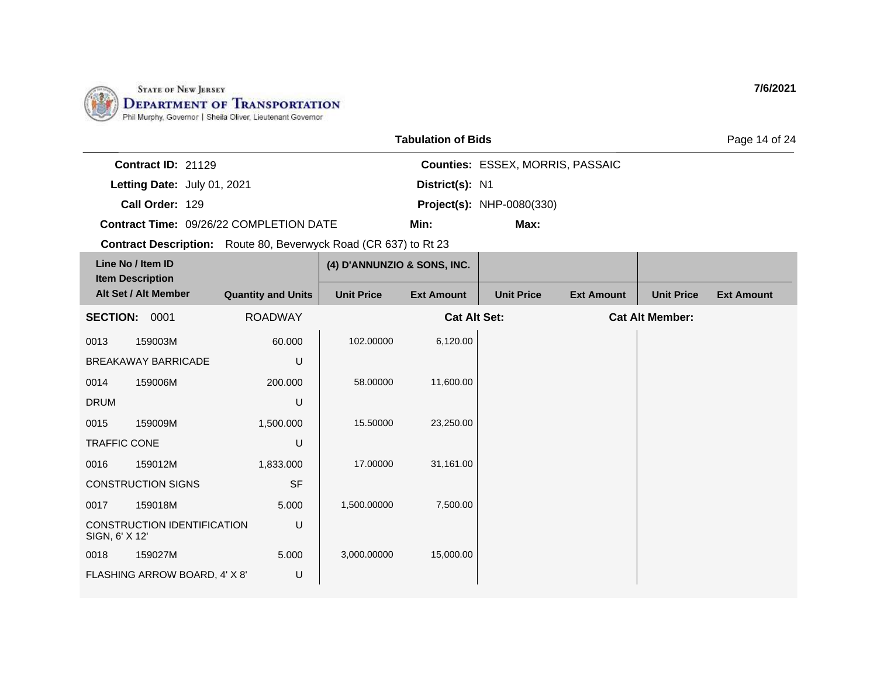

|                                         | <b>Tabulation of Bids</b> |                                         |  |  |  |
|-----------------------------------------|---------------------------|-----------------------------------------|--|--|--|
| Contract $ID: 21129$                    |                           | <b>Counties: ESSEX, MORRIS, PASSAIC</b> |  |  |  |
| Letting Date: July 01, 2021             | District(s): N1           |                                         |  |  |  |
| Call Order: 129                         |                           | <b>Project(s): NHP-0080(330)</b>        |  |  |  |
| Contract Time: 09/26/22 COMPLETION DATE | Min:                      | Max:                                    |  |  |  |

| Line No / Item ID<br><b>Item Description</b> |                               |                           | (4) D'ANNUNZIO & SONS, INC. |                     |                   |                   |                        |                   |
|----------------------------------------------|-------------------------------|---------------------------|-----------------------------|---------------------|-------------------|-------------------|------------------------|-------------------|
|                                              | Alt Set / Alt Member          | <b>Quantity and Units</b> | <b>Unit Price</b>           | <b>Ext Amount</b>   | <b>Unit Price</b> | <b>Ext Amount</b> | <b>Unit Price</b>      | <b>Ext Amount</b> |
| <b>SECTION:</b>                              | 0001                          | <b>ROADWAY</b>            |                             | <b>Cat Alt Set:</b> |                   |                   | <b>Cat Alt Member:</b> |                   |
| 0013                                         | 159003M                       | 60.000                    | 102.00000                   | 6,120.00            |                   |                   |                        |                   |
|                                              | BREAKAWAY BARRICADE           | U                         |                             |                     |                   |                   |                        |                   |
| 0014                                         | 159006M                       | 200.000                   | 58.00000                    | 11,600.00           |                   |                   |                        |                   |
| <b>DRUM</b>                                  |                               | U                         |                             |                     |                   |                   |                        |                   |
| 0015                                         | 159009M                       | 1,500.000                 | 15.50000                    | 23,250.00           |                   |                   |                        |                   |
| <b>TRAFFIC CONE</b>                          |                               | U                         |                             |                     |                   |                   |                        |                   |
| 0016                                         | 159012M                       | 1,833.000                 | 17.00000                    | 31,161.00           |                   |                   |                        |                   |
|                                              | <b>CONSTRUCTION SIGNS</b>     | <b>SF</b>                 |                             |                     |                   |                   |                        |                   |
| 0017                                         | 159018M                       | 5.000                     | 1,500.00000                 | 7,500.00            |                   |                   |                        |                   |
| SIGN, 6' X 12'                               | CONSTRUCTION IDENTIFICATION   | U                         |                             |                     |                   |                   |                        |                   |
| 0018                                         | 159027M                       | 5.000                     | 3,000.00000                 | 15,000.00           |                   |                   |                        |                   |
|                                              | FLASHING ARROW BOARD, 4' X 8' | U                         |                             |                     |                   |                   |                        |                   |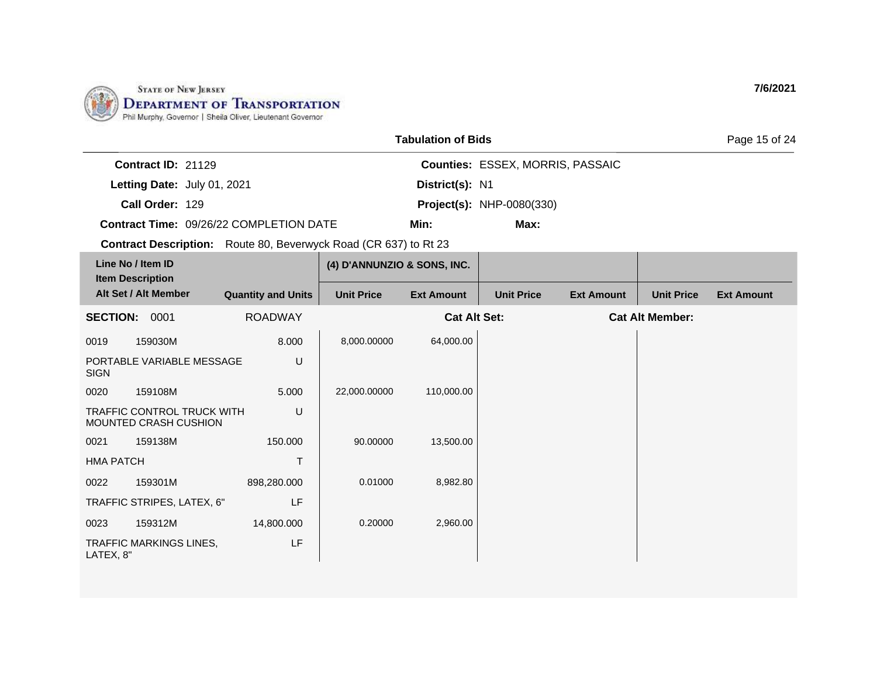

|                                                                         | <b>Tabulation of Bids</b> |                             |                     |                                         |                   |                        |                   |  |
|-------------------------------------------------------------------------|---------------------------|-----------------------------|---------------------|-----------------------------------------|-------------------|------------------------|-------------------|--|
| Contract ID: 21129                                                      |                           |                             |                     | <b>Counties: ESSEX, MORRIS, PASSAIC</b> |                   |                        |                   |  |
| Letting Date: July 01, 2021                                             |                           |                             | District(s): N1     |                                         |                   |                        |                   |  |
| Call Order: 129                                                         |                           |                             |                     | <b>Project(s): NHP-0080(330)</b>        |                   |                        |                   |  |
| <b>Contract Time: 09/26/22 COMPLETION DATE</b>                          |                           |                             | Min:                | Max:                                    |                   |                        |                   |  |
| <b>Contract Description:</b> Route 80, Beverwyck Road (CR 637) to Rt 23 |                           |                             |                     |                                         |                   |                        |                   |  |
| Line No / Item ID<br><b>Item Description</b>                            |                           | (4) D'ANNUNZIO & SONS, INC. |                     |                                         |                   |                        |                   |  |
| Alt Set / Alt Member                                                    | <b>Quantity and Units</b> | <b>Unit Price</b>           | <b>Ext Amount</b>   | <b>Unit Price</b>                       | <b>Ext Amount</b> | <b>Unit Price</b>      | <b>Ext Amount</b> |  |
| 0001<br><b>SECTION:</b>                                                 | <b>ROADWAY</b>            |                             | <b>Cat Alt Set:</b> |                                         |                   | <b>Cat Alt Member:</b> |                   |  |
| 0019<br>159030M                                                         | 8.000                     | 8,000.00000                 | 64,000.00           |                                         |                   |                        |                   |  |

| Line No / Item ID<br><b>Item Description</b> |                                                            |                           | (4) D'ANNUNZIO & SONS, INC. |                     |                   |                   |                        |                   |
|----------------------------------------------|------------------------------------------------------------|---------------------------|-----------------------------|---------------------|-------------------|-------------------|------------------------|-------------------|
|                                              | Alt Set / Alt Member                                       | <b>Quantity and Units</b> | <b>Unit Price</b>           | <b>Ext Amount</b>   | <b>Unit Price</b> | <b>Ext Amount</b> | <b>Unit Price</b>      | <b>Ext Amount</b> |
| <b>SECTION:</b>                              | 0001                                                       | <b>ROADWAY</b>            |                             | <b>Cat Alt Set:</b> |                   |                   | <b>Cat Alt Member:</b> |                   |
| 0019                                         | 159030M                                                    | 8.000                     | 8,000.00000                 | 64,000.00           |                   |                   |                        |                   |
| <b>SIGN</b>                                  | PORTABLE VARIABLE MESSAGE                                  | U                         |                             |                     |                   |                   |                        |                   |
| 0020                                         | 159108M                                                    | 5.000                     | 22,000.00000                | 110,000.00          |                   |                   |                        |                   |
|                                              | <b>TRAFFIC CONTROL TRUCK WITH</b><br>MOUNTED CRASH CUSHION | U                         |                             |                     |                   |                   |                        |                   |
| 0021                                         | 159138M                                                    | 150.000                   | 90.00000                    | 13,500.00           |                   |                   |                        |                   |
| <b>HMA PATCH</b>                             |                                                            | T                         |                             |                     |                   |                   |                        |                   |
| 0022                                         | 159301M                                                    | 898,280.000               | 0.01000                     | 8,982.80            |                   |                   |                        |                   |
|                                              | TRAFFIC STRIPES, LATEX, 6"                                 | LF                        |                             |                     |                   |                   |                        |                   |
| 0023                                         | 159312M                                                    | 14,800.000                | 0.20000                     | 2,960.00            |                   |                   |                        |                   |
| LATEX, 8"                                    | <b>TRAFFIC MARKINGS LINES,</b>                             | LF                        |                             |                     |                   |                   |                        |                   |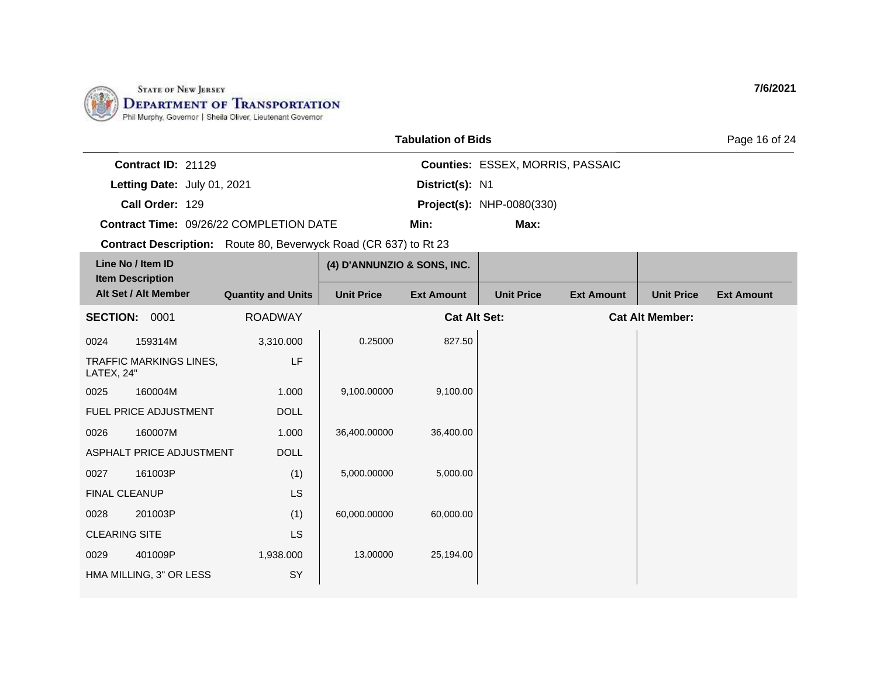

|                                         | <b>Tabulation of Bids</b> |                                         | Page 16 of 24 |  |
|-----------------------------------------|---------------------------|-----------------------------------------|---------------|--|
| Contract $ID: 21129$                    |                           | <b>Counties: ESSEX, MORRIS, PASSAIC</b> |               |  |
| Letting Date: July 01, 2021             | District(s): N1           |                                         |               |  |
| Call Order: 129                         |                           | <b>Project(s): NHP-0080(330)</b>        |               |  |
| Contract Time: 09/26/22 COMPLETION DATE | Min:                      | Max:                                    |               |  |

| Line No / Item ID<br><b>Item Description</b> |                              |                           | (4) D'ANNUNZIO & SONS, INC. |                     |                   |                   |                        |                   |
|----------------------------------------------|------------------------------|---------------------------|-----------------------------|---------------------|-------------------|-------------------|------------------------|-------------------|
|                                              | Alt Set / Alt Member         | <b>Quantity and Units</b> | <b>Unit Price</b>           | <b>Ext Amount</b>   | <b>Unit Price</b> | <b>Ext Amount</b> | <b>Unit Price</b>      | <b>Ext Amount</b> |
| <b>SECTION:</b>                              | 0001                         | <b>ROADWAY</b>            |                             | <b>Cat Alt Set:</b> |                   |                   | <b>Cat Alt Member:</b> |                   |
| 0024                                         | 159314M                      | 3,310.000                 | 0.25000                     | 827.50              |                   |                   |                        |                   |
| LATEX, 24"                                   | TRAFFIC MARKINGS LINES,      | LF                        |                             |                     |                   |                   |                        |                   |
| 0025                                         | 160004M                      | 1.000                     | 9,100.00000                 | 9,100.00            |                   |                   |                        |                   |
|                                              | <b>FUEL PRICE ADJUSTMENT</b> | <b>DOLL</b>               |                             |                     |                   |                   |                        |                   |
| 0026                                         | 160007M                      | 1.000                     | 36,400.00000                | 36,400.00           |                   |                   |                        |                   |
|                                              | ASPHALT PRICE ADJUSTMENT     | <b>DOLL</b>               |                             |                     |                   |                   |                        |                   |
| 0027                                         | 161003P                      | (1)                       | 5,000.00000                 | 5,000.00            |                   |                   |                        |                   |
| FINAL CLEANUP                                |                              | <b>LS</b>                 |                             |                     |                   |                   |                        |                   |
| 0028                                         | 201003P                      | (1)                       | 60,000.00000                | 60,000.00           |                   |                   |                        |                   |
| <b>CLEARING SITE</b>                         |                              | <b>LS</b>                 |                             |                     |                   |                   |                        |                   |
| 0029                                         | 401009P                      | 1,938.000                 | 13.00000                    | 25,194.00           |                   |                   |                        |                   |
|                                              | HMA MILLING, 3" OR LESS      | SY                        |                             |                     |                   |                   |                        |                   |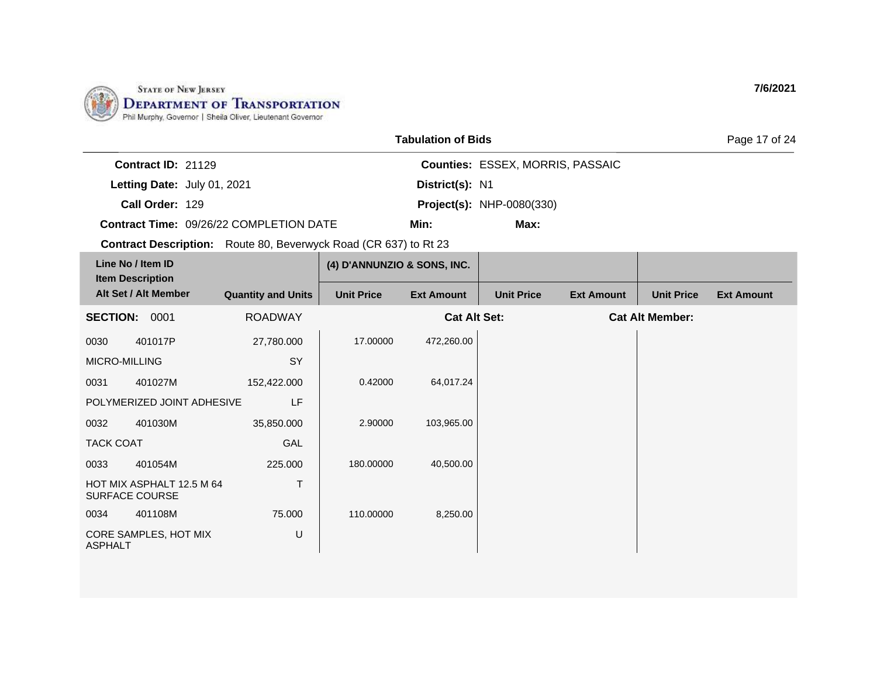

|                                         | <b>Tabulation of Bids</b> |                                         | Page 17 of 24 |
|-----------------------------------------|---------------------------|-----------------------------------------|---------------|
| Contract $ID: 21129$                    |                           | <b>Counties: ESSEX, MORRIS, PASSAIC</b> |               |
| Letting Date: July 01, 2021             | District(s): N1           |                                         |               |
| Call Order: 129                         |                           | <b>Project(s): NHP-0080(330)</b>        |               |
| Contract Time: 09/26/22 COMPLETION DATE | Min:                      | Max:                                    |               |

| Line No / Item ID<br><b>Item Description</b>            |                            |                           | (4) D'ANNUNZIO & SONS, INC. |                     |                   |                   |                        |                   |
|---------------------------------------------------------|----------------------------|---------------------------|-----------------------------|---------------------|-------------------|-------------------|------------------------|-------------------|
|                                                         | Alt Set / Alt Member       | <b>Quantity and Units</b> | <b>Unit Price</b>           | <b>Ext Amount</b>   | <b>Unit Price</b> | <b>Ext Amount</b> | <b>Unit Price</b>      | <b>Ext Amount</b> |
| <b>SECTION:</b>                                         | 0001                       | <b>ROADWAY</b>            |                             | <b>Cat Alt Set:</b> |                   |                   | <b>Cat Alt Member:</b> |                   |
| 0030                                                    | 401017P                    | 27,780.000                | 17.00000                    | 472,260.00          |                   |                   |                        |                   |
| MICRO-MILLING                                           |                            | SY                        |                             |                     |                   |                   |                        |                   |
| 0031                                                    | 401027M                    | 152,422.000               | 0.42000                     | 64,017.24           |                   |                   |                        |                   |
|                                                         | POLYMERIZED JOINT ADHESIVE | LF                        |                             |                     |                   |                   |                        |                   |
| 0032                                                    | 401030M                    | 35,850.000                | 2.90000                     | 103,965.00          |                   |                   |                        |                   |
| <b>TACK COAT</b>                                        |                            | <b>GAL</b>                |                             |                     |                   |                   |                        |                   |
| 0033                                                    | 401054M                    | 225.000                   | 180.00000                   | 40,500.00           |                   |                   |                        |                   |
| T<br>HOT MIX ASPHALT 12.5 M 64<br><b>SURFACE COURSE</b> |                            |                           |                             |                     |                   |                   |                        |                   |
| 0034                                                    | 401108M                    | 75.000                    | 110.00000                   | 8,250.00            |                   |                   |                        |                   |
| <b>ASPHALT</b>                                          | CORE SAMPLES, HOT MIX      | U                         |                             |                     |                   |                   |                        |                   |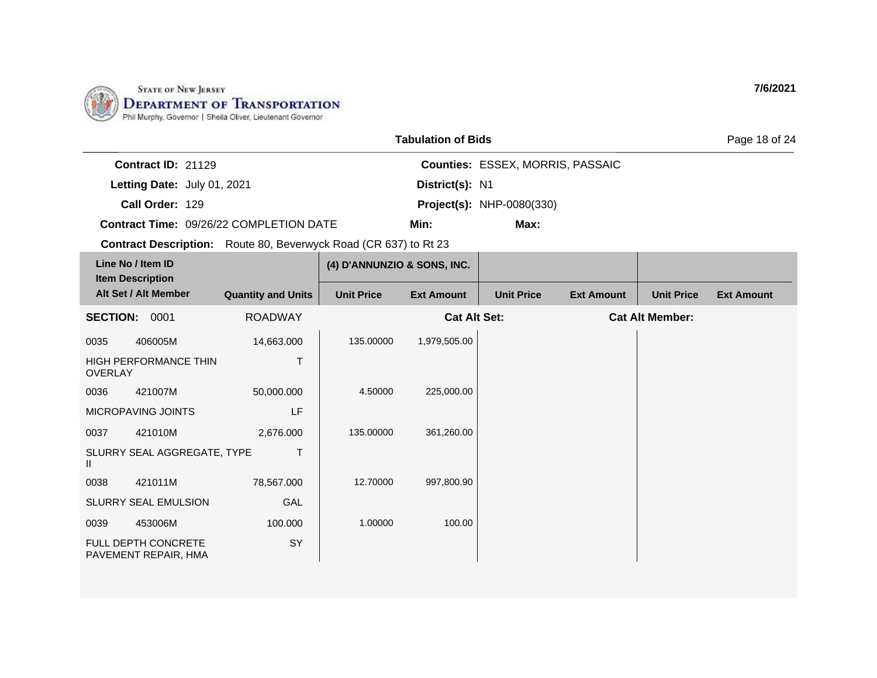

|                           |                                                                         | <b>Tabulation of Bids</b> |                                         | Page 18 of 24 |
|---------------------------|-------------------------------------------------------------------------|---------------------------|-----------------------------------------|---------------|
| <b>Contract ID: 21129</b> |                                                                         |                           | <b>Counties: ESSEX, MORRIS, PASSAIC</b> |               |
|                           | Letting Date: July 01, 2021                                             | District(s): N1           |                                         |               |
| Call Order: 129           |                                                                         |                           | <b>Project(s): NHP-0080(330)</b>        |               |
|                           | <b>Contract Time: 09/26/22 COMPLETION DATE</b>                          | Min:                      | Max:                                    |               |
|                           | <b>Contract Description:</b> Route 80, Beverwyck Road (CR 637) to Rt 23 |                           |                                         |               |
|                           |                                                                         |                           |                                         |               |

| Line No / Item ID<br><b>Item Description</b> |                                                    |                           | (4) D'ANNUNZIO & SONS, INC. |                     |                   |                   |                        |                   |
|----------------------------------------------|----------------------------------------------------|---------------------------|-----------------------------|---------------------|-------------------|-------------------|------------------------|-------------------|
| Alt Set / Alt Member                         |                                                    | <b>Quantity and Units</b> | <b>Unit Price</b>           | <b>Ext Amount</b>   | <b>Unit Price</b> | <b>Ext Amount</b> | <b>Unit Price</b>      | <b>Ext Amount</b> |
| <b>SECTION:</b>                              | 0001                                               | <b>ROADWAY</b>            |                             | <b>Cat Alt Set:</b> |                   |                   | <b>Cat Alt Member:</b> |                   |
| 0035                                         | 406005M                                            | 14,663.000                | 135.00000                   | 1,979,505.00        |                   |                   |                        |                   |
| Т<br>HIGH PERFORMANCE THIN<br><b>OVERLAY</b> |                                                    |                           |                             |                     |                   |                   |                        |                   |
| 0036                                         | 421007M                                            | 50,000.000                | 4.50000                     | 225,000.00          |                   |                   |                        |                   |
|                                              | MICROPAVING JOINTS                                 | LF                        |                             |                     |                   |                   |                        |                   |
| 0037                                         | 421010M                                            | 2,676.000                 | 135.00000                   | 361,260.00          |                   |                   |                        |                   |
| Ш                                            | SLURRY SEAL AGGREGATE, TYPE                        | T                         |                             |                     |                   |                   |                        |                   |
| 0038                                         | 421011M                                            | 78,567.000                | 12.70000                    | 997,800.90          |                   |                   |                        |                   |
|                                              | SLURRY SEAL EMULSION                               | GAL                       |                             |                     |                   |                   |                        |                   |
| 0039                                         | 453006M                                            | 100.000                   | 1.00000                     | 100.00              |                   |                   |                        |                   |
|                                              | <b>FULL DEPTH CONCRETE</b><br>PAVEMENT REPAIR, HMA | SY                        |                             |                     |                   |                   |                        |                   |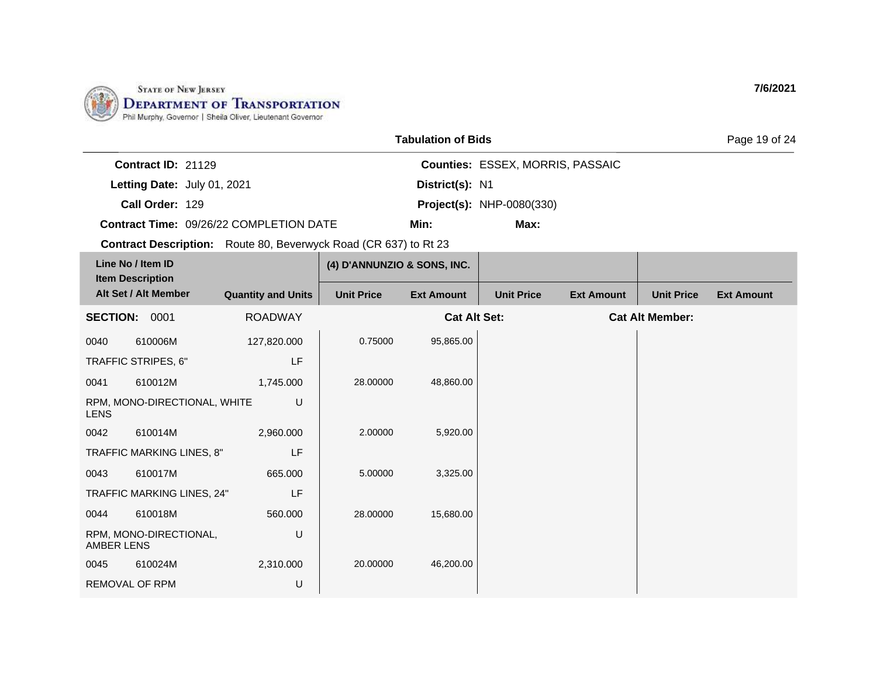

|                                         | <b>Tabulation of Bids</b> |                                         | Page 19 of 24 |
|-----------------------------------------|---------------------------|-----------------------------------------|---------------|
| Contract $ID: 21129$                    |                           | <b>Counties: ESSEX, MORRIS, PASSAIC</b> |               |
| Letting Date: July 01, 2021             | District(s): N1           |                                         |               |
| Call Order: 129                         |                           | <b>Project(s): NHP-0080(330)</b>        |               |
| Contract Time: 09/26/22 COMPLETION DATE | Min:                      | Max:                                    |               |

| Line No / Item ID<br><b>Item Description</b> |                              |                           | (4) D'ANNUNZIO & SONS, INC. |                     |                   |                   |                        |                   |
|----------------------------------------------|------------------------------|---------------------------|-----------------------------|---------------------|-------------------|-------------------|------------------------|-------------------|
|                                              | Alt Set / Alt Member         | <b>Quantity and Units</b> | <b>Unit Price</b>           | <b>Ext Amount</b>   | <b>Unit Price</b> | <b>Ext Amount</b> | <b>Unit Price</b>      | <b>Ext Amount</b> |
| <b>SECTION:</b>                              | 0001                         | <b>ROADWAY</b>            |                             | <b>Cat Alt Set:</b> |                   |                   | <b>Cat Alt Member:</b> |                   |
| 0040                                         | 610006M                      | 127,820.000               | 0.75000                     | 95,865.00           |                   |                   |                        |                   |
|                                              | TRAFFIC STRIPES, 6"          | LF                        |                             |                     |                   |                   |                        |                   |
| 0041                                         | 610012M                      | 1,745.000                 | 28.00000                    | 48,860.00           |                   |                   |                        |                   |
| <b>LENS</b>                                  | RPM, MONO-DIRECTIONAL, WHITE | U                         |                             |                     |                   |                   |                        |                   |
| 0042                                         | 610014M                      | 2,960.000                 | 2.00000                     | 5,920.00            |                   |                   |                        |                   |
|                                              | TRAFFIC MARKING LINES, 8"    | LF                        |                             |                     |                   |                   |                        |                   |
| 0043                                         | 610017M                      | 665,000                   | 5.00000                     | 3,325.00            |                   |                   |                        |                   |
|                                              | TRAFFIC MARKING LINES, 24"   | LF                        |                             |                     |                   |                   |                        |                   |
| 0044                                         | 610018M                      | 560,000                   | 28.00000                    | 15,680.00           |                   |                   |                        |                   |
| AMBER LENS                                   | RPM, MONO-DIRECTIONAL,       | U                         |                             |                     |                   |                   |                        |                   |
| 0045                                         | 610024M                      | 2,310.000                 | 20.00000                    | 46,200.00           |                   |                   |                        |                   |
| <b>REMOVAL OF RPM</b>                        |                              | U                         |                             |                     |                   |                   |                        |                   |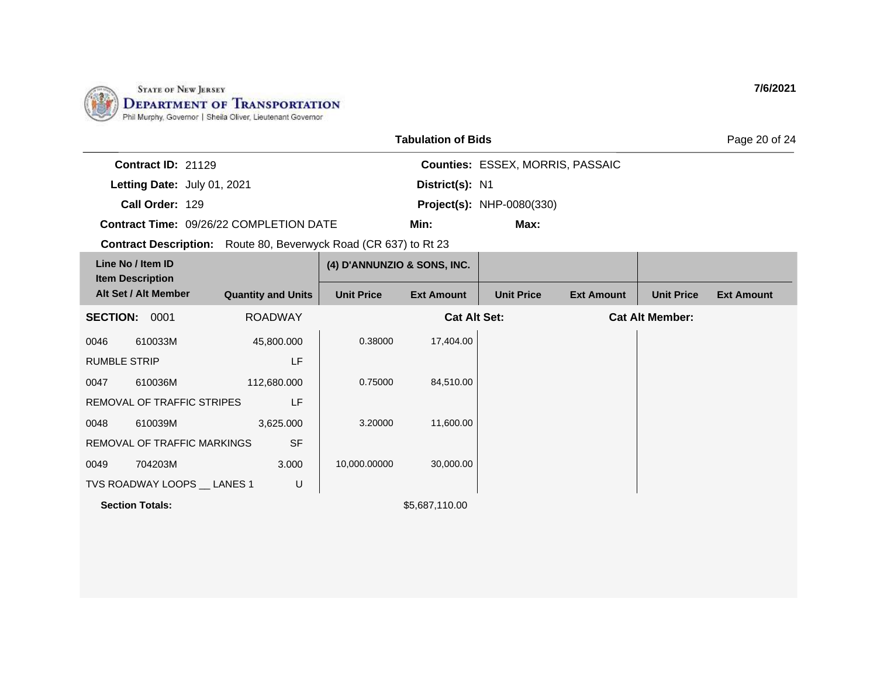

|                             |                                         | <b>Tabulation of Bids</b> |                                         | Page 20 of 24 |
|-----------------------------|-----------------------------------------|---------------------------|-----------------------------------------|---------------|
| <b>Contract ID: 21129</b>   |                                         |                           | <b>Counties: ESSEX, MORRIS, PASSAIC</b> |               |
| Letting Date: July 01, 2021 |                                         | District(s): N1           |                                         |               |
| Call Order: 129             |                                         |                           | <b>Project(s): NHP-0080(330)</b>        |               |
|                             | Contract Time: 09/26/22 COMPLETION DATE | Min:                      | Max:                                    |               |

| Line No / Item ID<br><b>Item Description</b><br>Alt Set / Alt Member |                              |                           | (4) D'ANNUNZIO & SONS, INC. |                     |                   |                   |                        |                   |
|----------------------------------------------------------------------|------------------------------|---------------------------|-----------------------------|---------------------|-------------------|-------------------|------------------------|-------------------|
|                                                                      |                              | <b>Quantity and Units</b> | <b>Unit Price</b>           | <b>Ext Amount</b>   | <b>Unit Price</b> | <b>Ext Amount</b> | <b>Unit Price</b>      | <b>Ext Amount</b> |
| <b>SECTION:</b>                                                      | 0001                         | <b>ROADWAY</b>            |                             | <b>Cat Alt Set:</b> |                   |                   | <b>Cat Alt Member:</b> |                   |
| 0046                                                                 | 610033M                      | 45,800.000                | 0.38000                     | 17,404.00           |                   |                   |                        |                   |
| <b>RUMBLE STRIP</b>                                                  |                              | LF                        |                             |                     |                   |                   |                        |                   |
| 0047                                                                 | 610036M                      | 112,680.000               | 0.75000                     | 84,510.00           |                   |                   |                        |                   |
|                                                                      | REMOVAL OF TRAFFIC STRIPES   | LF                        |                             |                     |                   |                   |                        |                   |
| 0048                                                                 | 610039M                      | 3,625.000                 | 3.20000                     | 11,600.00           |                   |                   |                        |                   |
|                                                                      | REMOVAL OF TRAFFIC MARKINGS  | <b>SF</b>                 |                             |                     |                   |                   |                        |                   |
| 0049                                                                 | 704203M                      | 3.000                     | 10,000.00000                | 30,000.00           |                   |                   |                        |                   |
|                                                                      | TVS ROADWAY LOOPS __ LANES 1 | U                         |                             |                     |                   |                   |                        |                   |
|                                                                      | <b>Section Totals:</b>       |                           |                             | \$5,687,110.00      |                   |                   |                        |                   |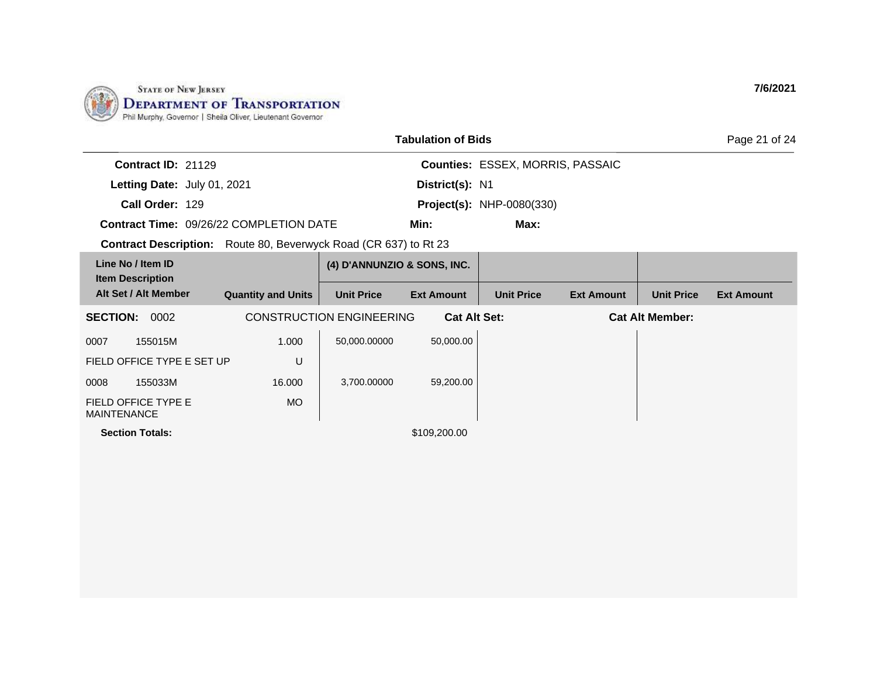

|                                                                         |                           |                                 | <b>Tabulation of Bids</b> |                                         |                   |                        | Page 21 of 24     |
|-------------------------------------------------------------------------|---------------------------|---------------------------------|---------------------------|-----------------------------------------|-------------------|------------------------|-------------------|
| Contract ID: 21129                                                      |                           |                                 |                           | <b>Counties: ESSEX, MORRIS, PASSAIC</b> |                   |                        |                   |
| Letting Date: July 01, 2021                                             |                           |                                 | District(s): N1           |                                         |                   |                        |                   |
| Call Order: 129                                                         |                           |                                 |                           | <b>Project(s): NHP-0080(330)</b>        |                   |                        |                   |
| Contract Time: 09/26/22 COMPLETION DATE                                 |                           |                                 | Min:                      | Max:                                    |                   |                        |                   |
| <b>Contract Description:</b> Route 80, Beverwyck Road (CR 637) to Rt 23 |                           |                                 |                           |                                         |                   |                        |                   |
| Line No / Item ID                                                       |                           | (4) D'ANNUNZIO & SONS, INC.     |                           |                                         |                   |                        |                   |
| <b>Item Description</b><br>Alt Set / Alt Member                         | <b>Quantity and Units</b> | <b>Unit Price</b>               | <b>Ext Amount</b>         | <b>Unit Price</b>                       | <b>Ext Amount</b> | <b>Unit Price</b>      | <b>Ext Amount</b> |
| <b>SECTION:</b><br>0002                                                 |                           | <b>CONSTRUCTION ENGINEERING</b> | <b>Cat Alt Set:</b>       |                                         |                   | <b>Cat Alt Member:</b> |                   |
| 0007<br>155015M                                                         | 1.000                     | 50,000.00000                    | 50,000.00                 |                                         |                   |                        |                   |
| FIELD OFFICE TYPE E SET UP                                              | U                         |                                 |                           |                                         |                   |                        |                   |
| 0008<br>155033M                                                         | 16.000                    | 3,700.00000                     | 59,200.00                 |                                         |                   |                        |                   |
| FIELD OFFICE TYPE E<br><b>MAINTENANCE</b>                               | <b>MO</b>                 |                                 |                           |                                         |                   |                        |                   |
| <b>Section Totals:</b>                                                  |                           |                                 | \$109,200.00              |                                         |                   |                        |                   |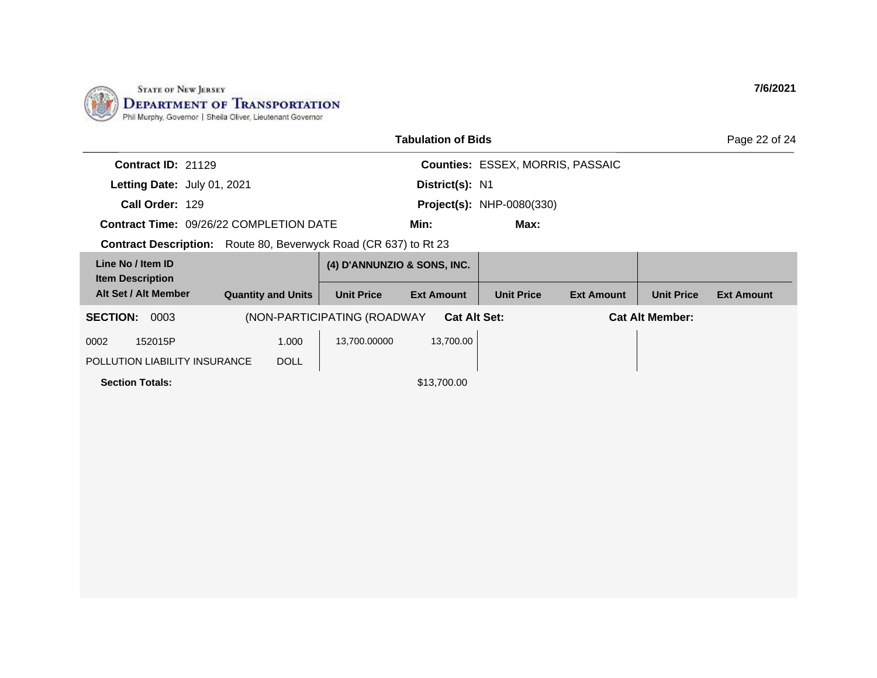

| Tabulation of Bids                                                      |                           |                             |                     |                                         |                   |                        |                   |  |
|-------------------------------------------------------------------------|---------------------------|-----------------------------|---------------------|-----------------------------------------|-------------------|------------------------|-------------------|--|
| Contract ID: 21129                                                      |                           |                             |                     | <b>Counties: ESSEX, MORRIS, PASSAIC</b> |                   |                        |                   |  |
| Letting Date: July 01, 2021                                             |                           |                             | District(s): N1     |                                         |                   |                        |                   |  |
| Call Order: 129                                                         |                           |                             |                     | <b>Project(s): NHP-0080(330)</b>        |                   |                        |                   |  |
| <b>Contract Time: 09/26/22 COMPLETION DATE</b>                          |                           |                             | Min:                | Max:                                    |                   |                        |                   |  |
| <b>Contract Description:</b> Route 80, Beverwyck Road (CR 637) to Rt 23 |                           |                             |                     |                                         |                   |                        |                   |  |
| Line No / Item ID<br><b>Item Description</b>                            |                           | (4) D'ANNUNZIO & SONS, INC. |                     |                                         |                   |                        |                   |  |
| Alt Set / Alt Member                                                    | <b>Quantity and Units</b> | <b>Unit Price</b>           | <b>Ext Amount</b>   | <b>Unit Price</b>                       | <b>Ext Amount</b> | <b>Unit Price</b>      | <b>Ext Amount</b> |  |
| <b>SECTION:</b><br>0003                                                 |                           | (NON-PARTICIPATING (ROADWAY | <b>Cat Alt Set:</b> |                                         |                   | <b>Cat Alt Member:</b> |                   |  |
| 152015P<br>0002                                                         | 1.000                     | 13,700.00000                | 13,700.00           |                                         |                   |                        |                   |  |
| POLLUTION LIABILITY INSURANCE                                           | <b>DOLL</b>               |                             |                     |                                         |                   |                        |                   |  |
| <b>Section Totals:</b>                                                  |                           |                             | \$13,700.00         |                                         |                   |                        |                   |  |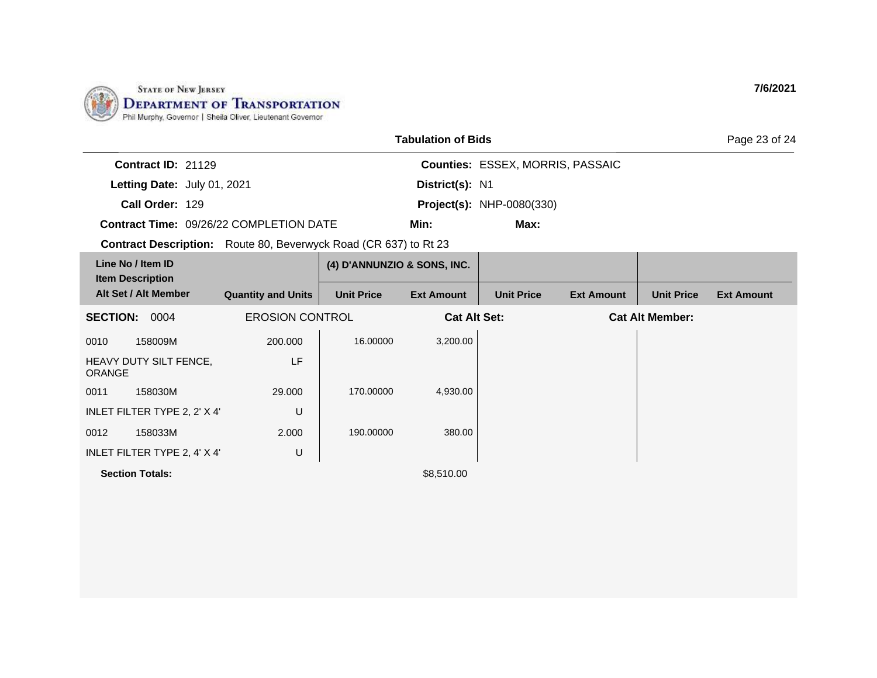

| <b>Tabulation of Bids</b>                                        |                           |                             |                     |                                         |                   |                        |                   |
|------------------------------------------------------------------|---------------------------|-----------------------------|---------------------|-----------------------------------------|-------------------|------------------------|-------------------|
| Contract ID: 21129                                               |                           |                             |                     | <b>Counties: ESSEX, MORRIS, PASSAIC</b> |                   |                        |                   |
| Letting Date: July 01, 2021                                      |                           |                             | District(s): N1     |                                         |                   |                        |                   |
| Call Order: 129                                                  |                           |                             |                     | <b>Project(s): NHP-0080(330)</b>        |                   |                        |                   |
| <b>Contract Time: 09/26/22 COMPLETION DATE</b>                   |                           |                             | Min:                | Max:                                    |                   |                        |                   |
| Contract Description: Route 80, Beverwyck Road (CR 637) to Rt 23 |                           |                             |                     |                                         |                   |                        |                   |
| Line No / Item ID                                                |                           | (4) D'ANNUNZIO & SONS, INC. |                     |                                         |                   |                        |                   |
| <b>Item Description</b><br>Alt Set / Alt Member                  | <b>Quantity and Units</b> | <b>Unit Price</b>           | <b>Ext Amount</b>   | <b>Unit Price</b>                       | <b>Ext Amount</b> | <b>Unit Price</b>      | <b>Ext Amount</b> |
| <b>SECTION: 0004</b>                                             | <b>EROSION CONTROL</b>    |                             | <b>Cat Alt Set:</b> |                                         |                   | <b>Cat Alt Member:</b> |                   |
| 158009M<br>0010                                                  | 200,000                   | 16.00000                    | 3,200.00            |                                         |                   |                        |                   |
| HEAVY DUTY SILT FENCE,<br><b>ORANGE</b>                          | LF                        |                             |                     |                                         |                   |                        |                   |
| 158030M<br>0011                                                  | 29,000                    | 170.00000                   | 4,930.00            |                                         |                   |                        |                   |
| INLET FILTER TYPE 2, 2' X 4'                                     | U                         |                             |                     |                                         |                   |                        |                   |
| 0012<br>158033M                                                  | 2.000                     | 190.00000                   | 380.00              |                                         |                   |                        |                   |
| INLET FILTER TYPE 2, 4' X 4'                                     | U                         |                             |                     |                                         |                   |                        |                   |
| <b>Section Totals:</b>                                           |                           |                             | \$8,510.00          |                                         |                   |                        |                   |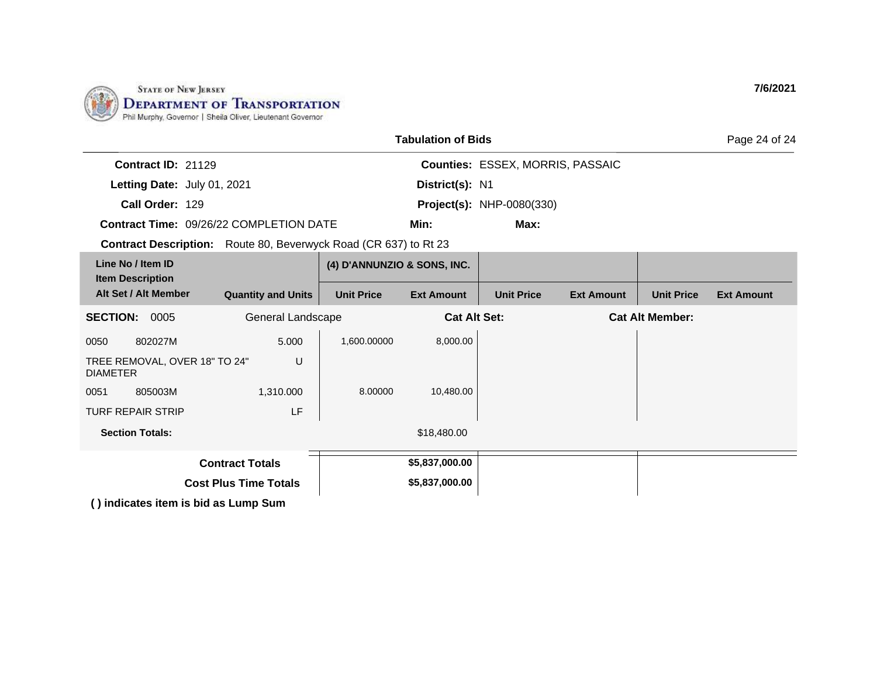

| <b>Tabulation of Bids</b>                        |                                                                         |                             |                   |                                  |                   |                        |                   |  |
|--------------------------------------------------|-------------------------------------------------------------------------|-----------------------------|-------------------|----------------------------------|-------------------|------------------------|-------------------|--|
| Contract ID: 21129                               |                                                                         |                             |                   | Counties: ESSEX, MORRIS, PASSAIC |                   |                        |                   |  |
| Letting Date: July 01, 2021                      |                                                                         |                             | District(s): N1   |                                  |                   |                        |                   |  |
| Call Order: 129                                  |                                                                         |                             |                   | <b>Project(s): NHP-0080(330)</b> |                   |                        |                   |  |
|                                                  | <b>Contract Time: 09/26/22 COMPLETION DATE</b>                          |                             | Min:              | Max:                             |                   |                        |                   |  |
|                                                  | <b>Contract Description:</b> Route 80, Beverwyck Road (CR 637) to Rt 23 |                             |                   |                                  |                   |                        |                   |  |
| Line No / Item ID                                |                                                                         | (4) D'ANNUNZIO & SONS, INC. |                   |                                  |                   |                        |                   |  |
| <b>Item Description</b><br>Alt Set / Alt Member  | <b>Quantity and Units</b>                                               | <b>Unit Price</b>           | <b>Ext Amount</b> | <b>Unit Price</b>                | <b>Ext Amount</b> | <b>Unit Price</b>      | <b>Ext Amount</b> |  |
| <b>SECTION:</b><br>0005<br>General Landscape     |                                                                         |                             |                   | <b>Cat Alt Set:</b>              |                   | <b>Cat Alt Member:</b> |                   |  |
| 802027M<br>0050                                  | 5.000                                                                   | 1,600.00000                 | 8,000.00          |                                  |                   |                        |                   |  |
| TREE REMOVAL, OVER 18" TO 24"<br><b>DIAMETER</b> | U                                                                       |                             |                   |                                  |                   |                        |                   |  |
| 805003M<br>0051                                  | 1,310.000                                                               | 8.00000                     | 10,480.00         |                                  |                   |                        |                   |  |
| <b>TURF REPAIR STRIP</b>                         | LF                                                                      |                             |                   |                                  |                   |                        |                   |  |
| <b>Section Totals:</b>                           |                                                                         |                             | \$18,480.00       |                                  |                   |                        |                   |  |
| <b>Contract Totals</b>                           |                                                                         |                             | \$5,837,000.00    |                                  |                   |                        |                   |  |
|                                                  | <b>Cost Plus Time Totals</b>                                            |                             | \$5,837,000.00    |                                  |                   |                        |                   |  |
|                                                  | () indicates item is bid as Lump Sum                                    |                             |                   |                                  |                   |                        |                   |  |